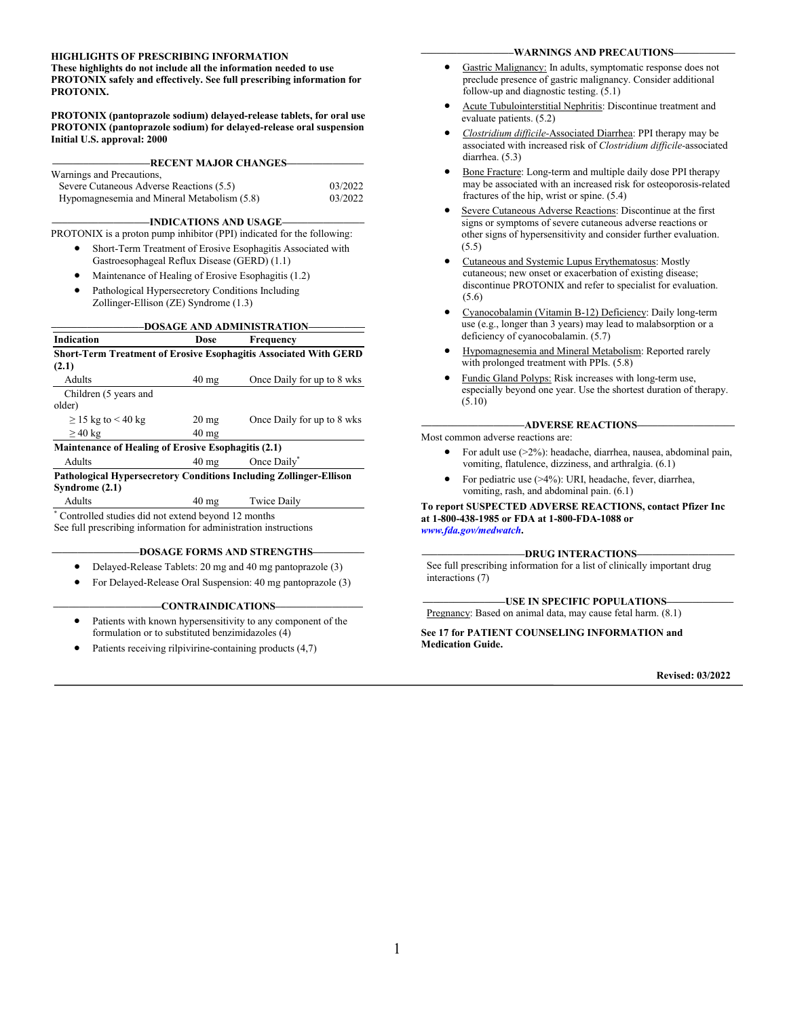#### **HIGHLIGHTS OF PRESCRIBING INFORMATION**

**These highlights do not include all the information needed to use PROTONIX safely and effectively. See full prescribing information for PROTONIX.**

**PROTONIX (pantoprazole sodium) delayed-release tablets, for oral use PROTONIX (pantoprazole sodium) for delayed-release oral suspension Initial U.S. approval: 2000**

**–––––––––––––––––––RECENT MAJOR CHANGES–––––––––––––––**

| Warnings and Precautions,                   |         |
|---------------------------------------------|---------|
| Severe Cutaneous Adverse Reactions (5.5)    | 03/2022 |
| Hypomagnesemia and Mineral Metabolism (5.8) | 03/2022 |

**–––––––––––––––––––INDICATIONS AND USAGE––––––––––––––––**

PROTONIX is a proton pump inhibitor (PPI) indicated for the following:

- Short-Term Treatment of Erosive Esophagitis Associated with Gastroesophageal Reflux Disease (GERD) (1.1)
- Maintenance of Healing of Erosive Esophagitis (1.2)
- Pathological Hypersecretory Conditions Including
- Zollinger-Ellison (ZE) Syndrome (1.3)

#### **––––––––––––––––––DOSAGE AND ADMINISTRATION–––––––––––**

|                                                            |                    | DOSAQE AND ADMINISTRATION                                                 |
|------------------------------------------------------------|--------------------|---------------------------------------------------------------------------|
| <b>Indication</b>                                          | Dose               | Frequency                                                                 |
|                                                            |                    | <b>Short-Term Treatment of Erosive Esophagitis Associated With GERD</b>   |
| (2.1)                                                      |                    |                                                                           |
| Adults                                                     | $40 \text{ mg}$    | Once Daily for up to 8 wks                                                |
| Children (5 years and                                      |                    |                                                                           |
| older)                                                     |                    |                                                                           |
| $\geq$ 15 kg to < 40 kg                                    | $20 \,\mathrm{mg}$ | Once Daily for up to 8 wks                                                |
| $\geq$ 40 kg                                               | $40 \text{ mg}$    |                                                                           |
| <b>Maintenance of Healing of Erosive Esophagitis (2.1)</b> |                    |                                                                           |
| Adults                                                     | $40 \text{ mg}$    | Once Daily*                                                               |
|                                                            |                    | <b>Pathological Hypersecretory Conditions Including Zollinger-Ellison</b> |
| Syndrome (2.1)                                             |                    |                                                                           |
| Adults                                                     | $40 \text{ mg}$    | <b>Twice Daily</b>                                                        |
| * Controlled studies did not extend beyond 12 months       |                    |                                                                           |

See full prescribing information for administration instructions

#### **–––––––––––––––––DOSAGE FORMS AND STRENGTHS––––––––––**

- Delayed-Release Tablets: 20 mg and 40 mg pantoprazole (3)
- For Delayed-Release Oral Suspension: 40 mg pantoprazole (3)

#### **–––––––––––––––––––––CONTRAINDICATIONS–––––––––––––––––**

- Patients with known hypersensitivity to any component of the formulation or to substituted benzimidazoles (4)
- Patients receiving rilpivirine-containing products (4,7)

#### **––––––––––––––––––WARNINGS AND PRECAUTIONS––––––––––––**

- Gastric Malignancy: In adults, symptomatic response does not preclude presence of gastric malignancy. Consider additional follow-up and diagnostic testing. (5.1)
- Acute Tubulointerstitial Nephritis: Discontinue treatment and evaluate patients. (5.2)
- *Clostridium difficile-*Associated Diarrhea: PPI therapy may be associated with increased risk of *Clostridium difficile-*associated diarrhea. (5.3)
- Bone Fracture: Long-term and multiple daily dose PPI therapy may be associated with an increased risk for osteoporosis-related fractures of the hip, wrist or spine. (5.4)
- Severe Cutaneous Adverse Reactions: Discontinue at the first signs or symptoms of severe cutaneous adverse reactions or other signs of hypersensitivity and consider further evaluation. (5.5)
- Cutaneous and Systemic Lupus Erythematosus: Mostly cutaneous; new onset or exacerbation of existing disease; discontinue PROTONIX and refer to specialist for evaluation. (5.6)
- Cyanocobalamin (Vitamin B-12) Deficiency: Daily long-term use (e.g., longer than 3 years) may lead to malabsorption or a deficiency of cyanocobalamin. (5.7)
- Hypomagnesemia and Mineral Metabolism: Reported rarely with prolonged treatment with PPIs. (5.8)
- Fundic Gland Polyps: Risk increases with long-term use, especially beyond one year. Use the shortest duration of therapy. (5.10)

#### **––––––––––––––––––––ADVERSE REACTIONS–––––––––––––––––––**

Most common adverse reactions are:

- For adult use (>2%): headache, diarrhea, nausea, abdominal pain, vomiting, flatulence, dizziness, and arthralgia. (6.1)
- For pediatric use (>4%): URI, headache, fever, diarrhea, vomiting, rash, and abdominal pain. (6.1)

#### **To report SUSPECTED ADVERSE REACTIONS, contact Pfizer Inc at 1-800-438-1985 or FDA at 1-800-FDA-1088 or** *[www.fda.gov/medwatch](http://www.fda.gov/medwatch)***.**

#### **––––––––––––––––––––DRUG INTERACTIONS–––––––––––––––––––**

See full prescribing information for a list of clinically important drug interactions (7)

#### **––––––––––––––––USE IN SPECIFIC POPULATIONS–––––––––––––**

Pregnancy: Based on animal data, may cause fetal harm. (8.1)

#### **See 17 for PATIENT COUNSELING INFORMATION and Medication Guide.**

**Revised: 03/2022**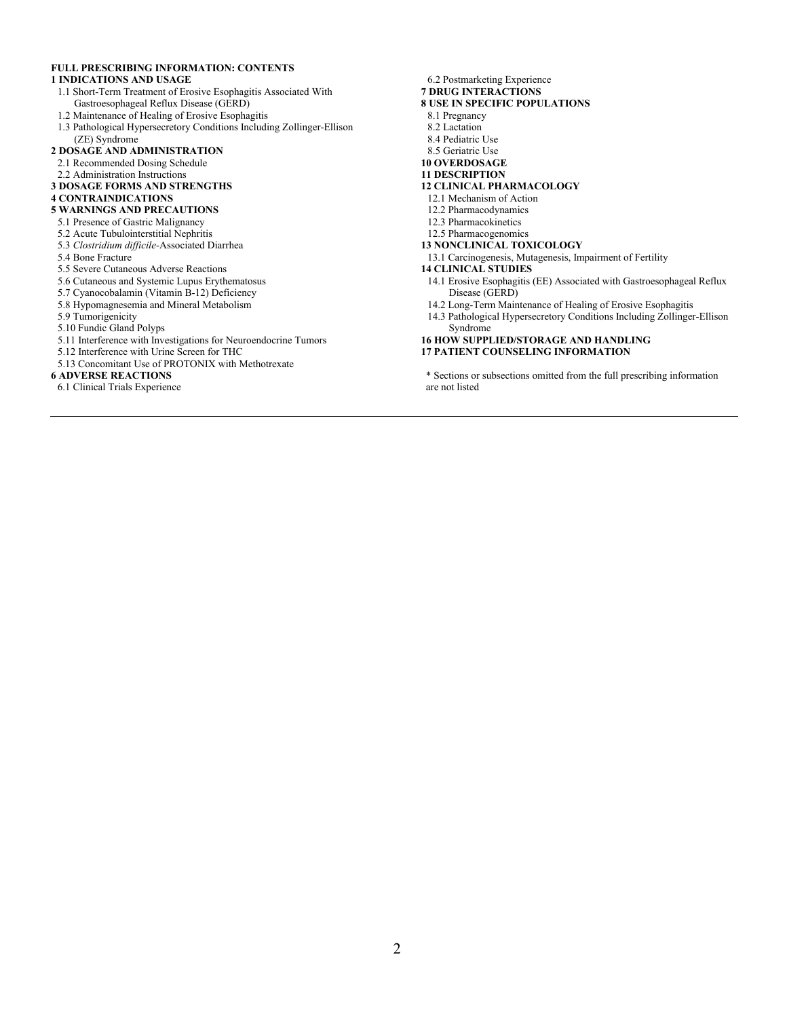#### **FULL PRESCRIBING INFORMATION: CONTENTS**

#### **1 INDICATIONS AND USAGE**

- 1.1 Short-Term Treatment of Erosive Esophagitis Associated With Gastroesophageal Reflux Disease (GERD)
- 1.2 Maintenance of Healing of Erosive Esophagitis
- 1.3 Pathological Hypersecretory Conditions Including Zollinger-Ellison (ZE) Syndrome

#### **2 DOSAGE AND ADMINISTRATION**

- 2.1 Recommended Dosing Schedule
- 2.2 Administration Instructions
- **3 DOSAGE FORMS AND STRENGTHS**
- **4 CONTRAINDICATIONS**
- **5 WARNINGS AND PRECAUTIONS**
- 5.1 Presence of Gastric Malignancy
- 5.2 Acute Tubulointerstitial Nephritis
- 5.3 *Clostridium difficile-*Associated Diarrhea
- 5.4 Bone Fracture
- 5.5 Severe Cutaneous Adverse Reactions
- 5.6 Cutaneous and Systemic Lupus Erythematosus
- 5.7 Cyanocobalamin (Vitamin B-12) Deficiency
- 5.8 Hypomagnesemia and Mineral Metabolism
- 5.9 Tumorigenicity
- 5.10 Fundic Gland Polyps
- 5.11 Interference with Investigations for Neuroendocrine Tumors
- 5.12 Interference with Urine Screen for THC
- 5.13 Concomitant Use of PROTONIX with Methotrexate

#### **6 ADVERSE REACTIONS**

6.1 Clinical Trials Experience

- 6.2 Postmarketing Experience
- **7 DRUG INTERACTIONS**
- **8 USE IN SPECIFIC POPULATIONS**
	- 8.1 Pregnancy
	- 8.2 Lactation
	- 8.4 Pediatric Use
	- 8.5 Geriatric Use
- **10 OVERDOSAGE**
- **11 DESCRIPTION**
- **12 CLINICAL PHARMACOLOGY**
- 12.1 Mechanism of Action
- 12.2 Pharmacodynamics
- 12.3 Pharmacokinetics
- 12.5 Pharmacogenomics

#### **13 NONCLINICAL TOXICOLOGY**

13.1 Carcinogenesis, Mutagenesis, Impairment of Fertility

#### **14 CLINICAL STUDIES**

- 14.1 Erosive Esophagitis (EE) Associated with Gastroesophageal Reflux Disease (GERD)
- 14.2 Long-Term Maintenance of Healing of Erosive Esophagitis
- 14.3 Pathological Hypersecretory Conditions Including Zollinger-Ellison Syndrome

#### **16 HOW SUPPLIED/STORAGE AND HANDLING 17 PATIENT COUNSELING INFORMATION**

\* Sections or subsections omitted from the full prescribing information are not listed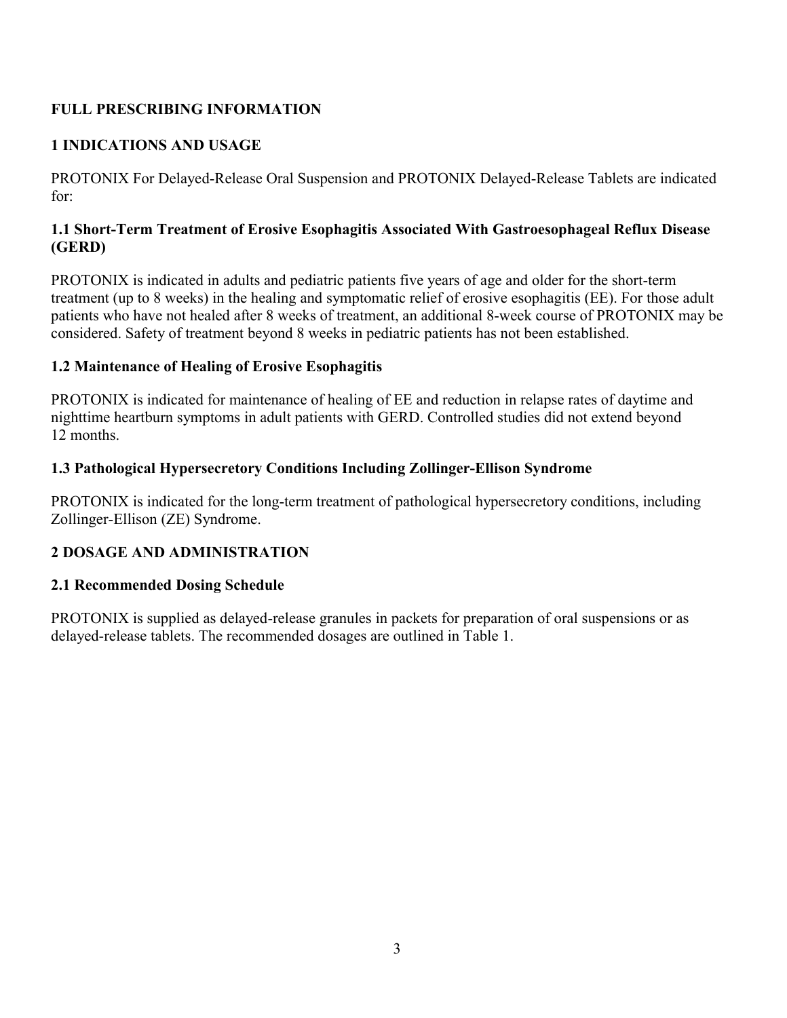# **FULL PRESCRIBING INFORMATION**

# **1 INDICATIONS AND USAGE**

PROTONIX For Delayed-Release Oral Suspension and PROTONIX Delayed-Release Tablets are indicated for:

## **1.1 Short-Term Treatment of Erosive Esophagitis Associated With Gastroesophageal Reflux Disease (GERD)**

PROTONIX is indicated in adults and pediatric patients five years of age and older for the short-term treatment (up to 8 weeks) in the healing and symptomatic relief of erosive esophagitis (EE). For those adult patients who have not healed after 8 weeks of treatment, an additional 8-week course of PROTONIX may be considered. Safety of treatment beyond 8 weeks in pediatric patients has not been established.

## **1.2 Maintenance of Healing of Erosive Esophagitis**

PROTONIX is indicated for maintenance of healing of EE and reduction in relapse rates of daytime and nighttime heartburn symptoms in adult patients with GERD. Controlled studies did not extend beyond 12 months.

## **1.3 Pathological Hypersecretory Conditions Including Zollinger-Ellison Syndrome**

PROTONIX is indicated for the long-term treatment of pathological hypersecretory conditions, including Zollinger-Ellison (ZE) Syndrome.

# **2 DOSAGE AND ADMINISTRATION**

## **2.1 Recommended Dosing Schedule**

PROTONIX is supplied as delayed-release granules in packets for preparation of oral suspensions or as delayed-release tablets. The recommended dosages are outlined in Table 1.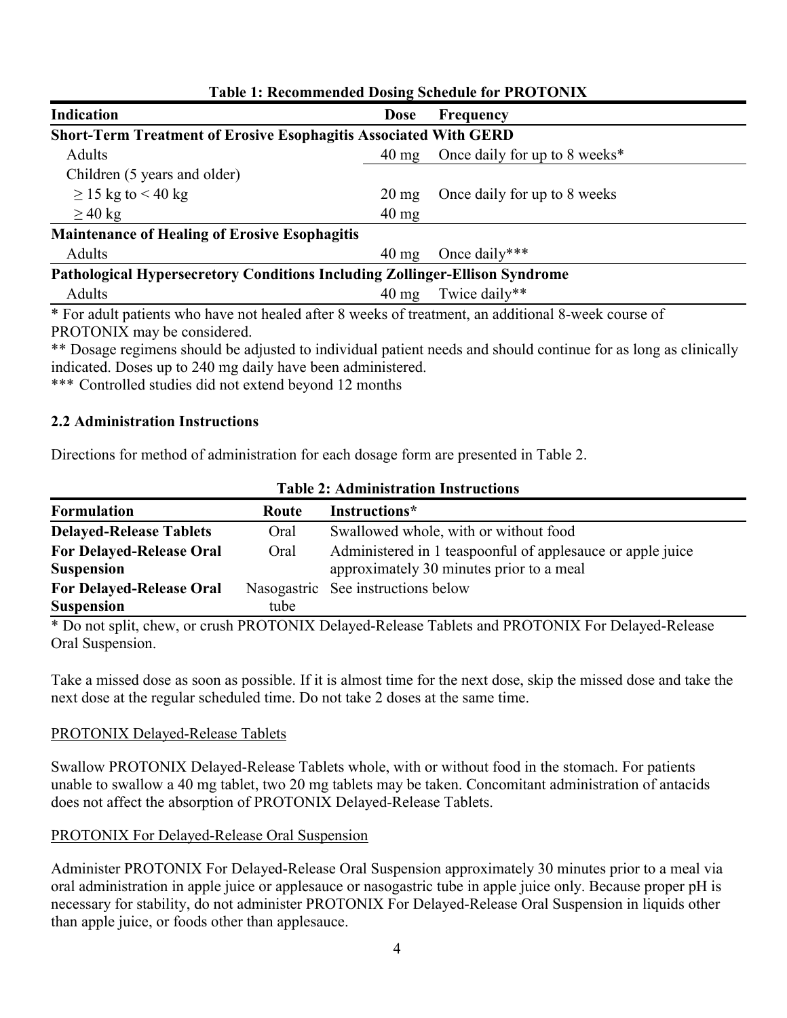| Table 1, Recommended Dosing Schedule for TROTOFILM                                                  |                 |                               |  |
|-----------------------------------------------------------------------------------------------------|-----------------|-------------------------------|--|
| <b>Indication</b>                                                                                   | <b>Dose</b>     | Frequency                     |  |
| <b>Short-Term Treatment of Erosive Esophagitis Associated With GERD</b>                             |                 |                               |  |
| Adults                                                                                              | $40 \text{ mg}$ | Once daily for up to 8 weeks* |  |
| Children (5 years and older)                                                                        |                 |                               |  |
| $\geq$ 15 kg to < 40 kg                                                                             | $20 \text{ mg}$ | Once daily for up to 8 weeks  |  |
| $\geq$ 40 kg                                                                                        | $40 \text{ mg}$ |                               |  |
| <b>Maintenance of Healing of Erosive Esophagitis</b>                                                |                 |                               |  |
| Adults                                                                                              | $40 \text{ mg}$ | Once daily***                 |  |
| <b>Pathological Hypersecretory Conditions Including Zollinger-Ellison Syndrome</b>                  |                 |                               |  |
| Adults                                                                                              | $40 \text{ mg}$ | Twice daily**                 |  |
| * For adult patients who have not healed after 8 weeks of treatment, an additional 8-week course of |                 |                               |  |

## **Table 1: Recommended Dosing Schedule for PROTONIX**

PROTONIX may be considered.

\*\* Dosage regimens should be adjusted to individual patient needs and should continue for as long as clinically indicated. Doses up to 240 mg daily have been administered.

\*\*\* Controlled studies did not extend beyond 12 months

#### **2.2 Administration Instructions**

Directions for method of administration for each dosage form are presented in Table 2.

| Tabit 2. Auniniisti ation Tiisti uvuons |              |                                                            |  |
|-----------------------------------------|--------------|------------------------------------------------------------|--|
| <b>Formulation</b>                      | <b>Route</b> | Instructions*                                              |  |
| <b>Delayed-Release Tablets</b>          | Oral         | Swallowed whole, with or without food                      |  |
| <b>For Delayed-Release Oral</b>         | Oral         | Administered in 1 teaspoonful of applesauce or apple juice |  |
| <b>Suspension</b>                       |              | approximately 30 minutes prior to a meal                   |  |
| <b>For Delayed-Release Oral</b>         |              | Nasogastric See instructions below                         |  |
| <b>Suspension</b>                       | tube         |                                                            |  |

#### **Table 2: Administration Instructions**

\* Do not split, chew, or crush PROTONIX Delayed-Release Tablets and PROTONIX For Delayed-Release Oral Suspension.

Take a missed dose as soon as possible. If it is almost time for the next dose, skip the missed dose and take the next dose at the regular scheduled time. Do not take 2 doses at the same time.

## PROTONIX Delayed-Release Tablets

Swallow PROTONIX Delayed-Release Tablets whole, with or without food in the stomach. For patients unable to swallow a 40 mg tablet, two 20 mg tablets may be taken. Concomitant administration of antacids does not affect the absorption of PROTONIX Delayed-Release Tablets.

## PROTONIX For Delayed-Release Oral Suspension

Administer PROTONIX For Delayed-Release Oral Suspension approximately 30 minutes prior to a meal via oral administration in apple juice or applesauce or nasogastric tube in apple juice only. Because proper pH is necessary for stability, do not administer PROTONIX For Delayed-Release Oral Suspension in liquids other than apple juice, or foods other than applesauce.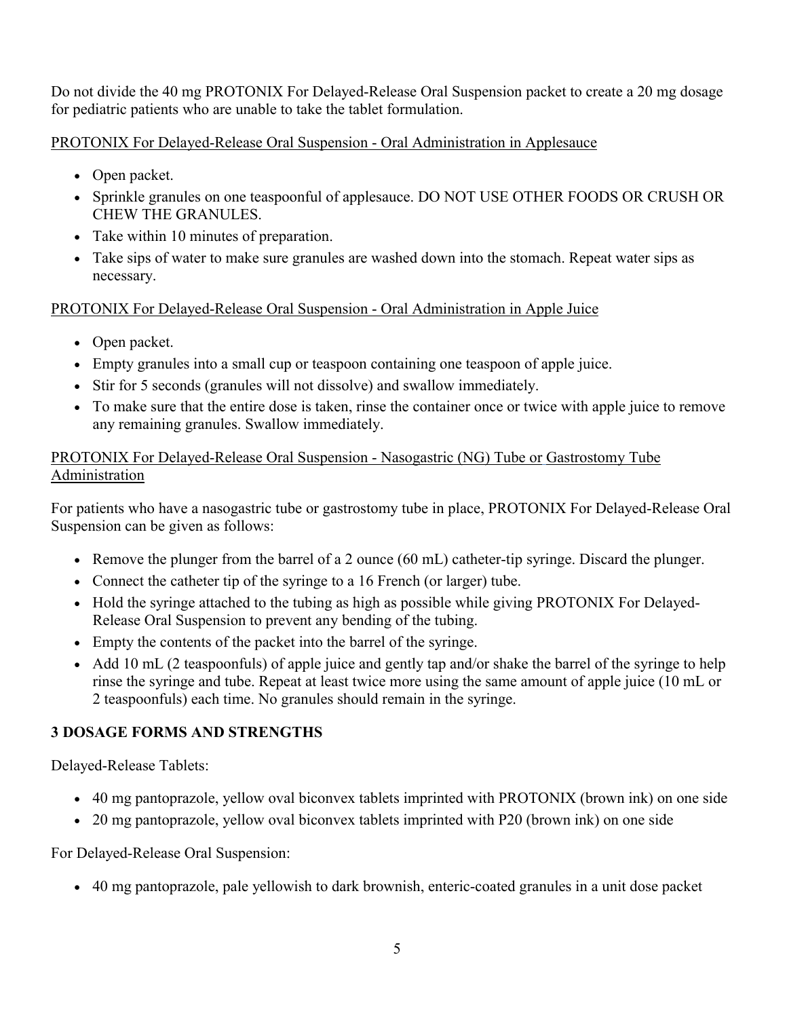Do not divide the 40 mg PROTONIX For Delayed-Release Oral Suspension packet to create a 20 mg dosage for pediatric patients who are unable to take the tablet formulation.

PROTONIX For Delayed-Release Oral Suspension - Oral Administration in Applesauce

- Open packet.
- Sprinkle granules on one teaspoonful of applesauce. DO NOT USE OTHER FOODS OR CRUSH OR CHEW THE GRANULES.
- Take within 10 minutes of preparation.
- Take sips of water to make sure granules are washed down into the stomach. Repeat water sips as necessary.

# PROTONIX For Delayed-Release Oral Suspension - Oral Administration in Apple Juice

- Open packet.
- Empty granules into a small cup or teaspoon containing one teaspoon of apple juice.
- Stir for 5 seconds (granules will not dissolve) and swallow immediately.
- To make sure that the entire dose is taken, rinse the container once or twice with apple juice to remove any remaining granules. Swallow immediately.

## PROTONIX For Delayed-Release Oral Suspension - Nasogastric (NG) Tube or Gastrostomy Tube Administration

For patients who have a nasogastric tube or gastrostomy tube in place, PROTONIX For Delayed-Release Oral Suspension can be given as follows:

- Exercise the plunger from the barrel of a 2 ounce  $(60 \text{ mL})$  catheter-tip syringe. Discard the plunger.
- Connect the catheter tip of the syringe to a 16 French (or larger) tube.
- Hold the syringe attached to the tubing as high as possible while giving PROTONIX For Delayed-Release Oral Suspension to prevent any bending of the tubing.
- Empty the contents of the packet into the barrel of the syringe.
- Add 10 mL (2 teaspoonfuls) of apple juice and gently tap and/or shake the barrel of the syringe to help rinse the syringe and tube. Repeat at least twice more using the same amount of apple juice (10 mL or 2 teaspoonfuls) each time. No granules should remain in the syringe.

# **3 DOSAGE FORMS AND STRENGTHS**

Delayed-Release Tablets:

- 40 mg pantoprazole, yellow oval biconvex tablets imprinted with PROTONIX (brown ink) on one side
- 20 mg pantoprazole, yellow oval biconvex tablets imprinted with P20 (brown ink) on one side

For Delayed-Release Oral Suspension:

40 mg pantoprazole, pale yellowish to dark brownish, enteric-coated granules in a unit dose packet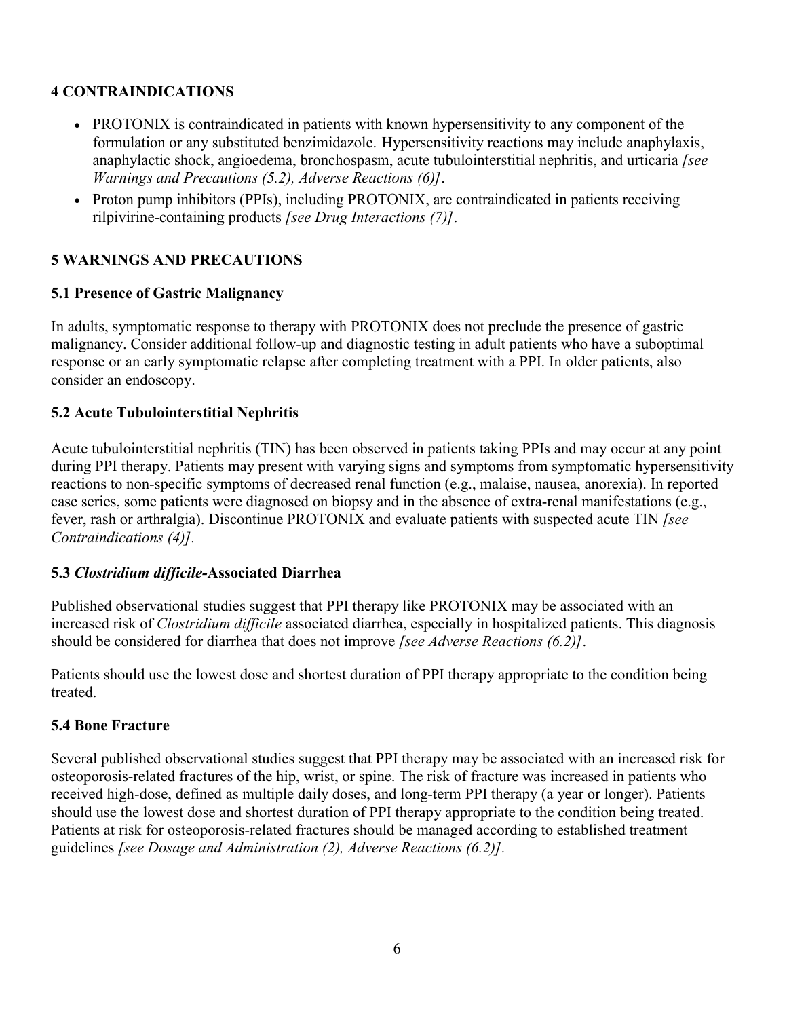## **4 CONTRAINDICATIONS**

- PROTONIX is contraindicated in patients with known hypersensitivity to any component of the formulation or any substituted benzimidazole. Hypersensitivity reactions may include anaphylaxis, anaphylactic shock, angioedema, bronchospasm, acute tubulointerstitial nephritis, and urticaria *[see Warnings and Precautions (5.2), Adverse Reactions (6)]*.
- Proton pump inhibitors (PPIs), including PROTONIX, are contraindicated in patients receiving rilpivirine-containing products *[see Drug Interactions (7)]*.

## **5 WARNINGS AND PRECAUTIONS**

## **5.1 Presence of Gastric Malignancy**

In adults, symptomatic response to therapy with PROTONIX does not preclude the presence of gastric malignancy. Consider additional follow-up and diagnostic testing in adult patients who have a suboptimal response or an early symptomatic relapse after completing treatment with a PPI. In older patients, also consider an endoscopy.

#### **5.2 Acute Tubulointerstitial Nephritis**

Acute tubulointerstitial nephritis (TIN) has been observed in patients taking PPIs and may occur at any point during PPI therapy. Patients may present with varying signs and symptoms from symptomatic hypersensitivity reactions to non-specific symptoms of decreased renal function (e.g., malaise, nausea, anorexia). In reported case series, some patients were diagnosed on biopsy and in the absence of extra-renal manifestations (e.g., fever, rash or arthralgia). Discontinue PROTONIX and evaluate patients with suspected acute TIN *[see Contraindications (4)].*

#### **5.3** *Clostridium difficile-***Associated Diarrhea**

Published observational studies suggest that PPI therapy like PROTONIX may be associated with an increased risk of *Clostridium difficile* associated diarrhea, especially in hospitalized patients. This diagnosis should be considered for diarrhea that does not improve *[see Adverse Reactions (6.2)]*.

Patients should use the lowest dose and shortest duration of PPI therapy appropriate to the condition being treated.

## **5.4 Bone Fracture**

Several published observational studies suggest that PPI therapy may be associated with an increased risk for osteoporosis-related fractures of the hip, wrist, or spine. The risk of fracture was increased in patients who received high-dose, defined as multiple daily doses, and long-term PPI therapy (a year or longer). Patients should use the lowest dose and shortest duration of PPI therapy appropriate to the condition being treated. Patients at risk for osteoporosis-related fractures should be managed according to established treatment guidelines *[see Dosage and Administration (2), Adverse Reactions (6.2)].*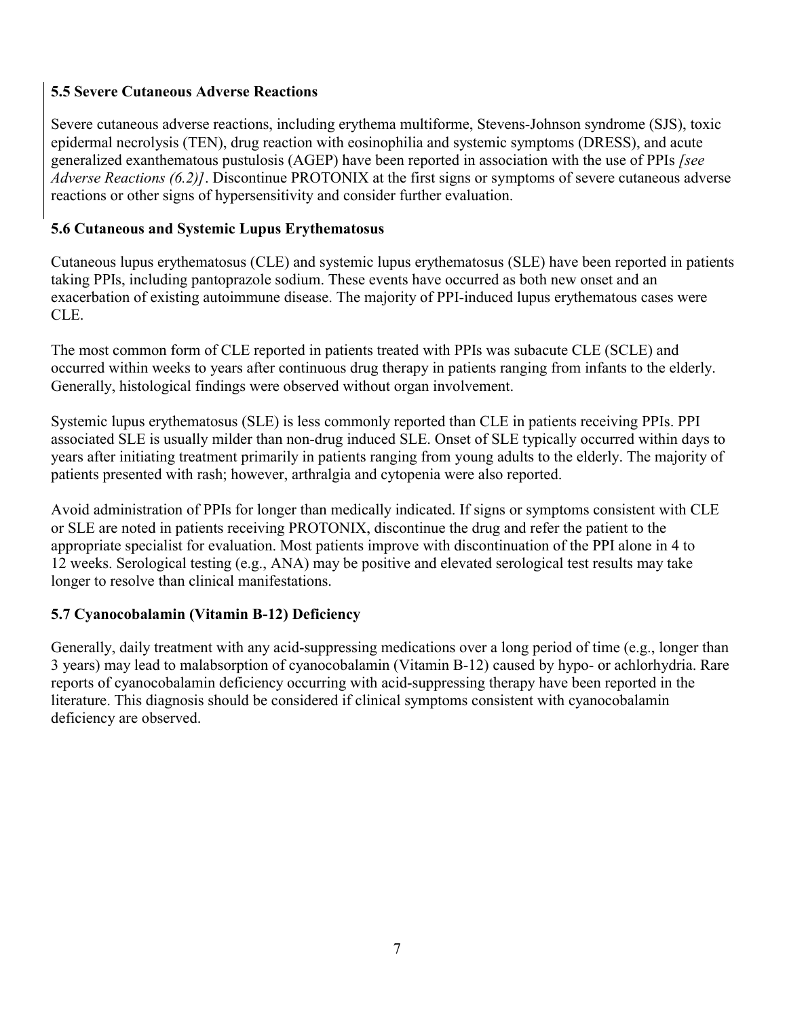## **5.5 Severe Cutaneous Adverse Reactions**

Severe cutaneous adverse reactions, including erythema multiforme, Stevens-Johnson syndrome (SJS), toxic epidermal necrolysis (TEN), drug reaction with eosinophilia and systemic symptoms (DRESS), and acute generalized exanthematous pustulosis (AGEP) have been reported in association with the use of PPIs *[see Adverse Reactions (6.2)]*. Discontinue PROTONIX at the first signs or symptoms of severe cutaneous adverse reactions or other signs of hypersensitivity and consider further evaluation.

## **5.6 Cutaneous and Systemic Lupus Erythematosus**

Cutaneous lupus erythematosus (CLE) and systemic lupus erythematosus (SLE) have been reported in patients taking PPIs, including pantoprazole sodium. These events have occurred as both new onset and an exacerbation of existing autoimmune disease. The majority of PPI-induced lupus erythematous cases were CLE.

The most common form of CLE reported in patients treated with PPIs was subacute CLE (SCLE) and occurred within weeks to years after continuous drug therapy in patients ranging from infants to the elderly. Generally, histological findings were observed without organ involvement.

Systemic lupus erythematosus (SLE) is less commonly reported than CLE in patients receiving PPIs. PPI associated SLE is usually milder than non-drug induced SLE. Onset of SLE typically occurred within days to years after initiating treatment primarily in patients ranging from young adults to the elderly. The majority of patients presented with rash; however, arthralgia and cytopenia were also reported.

Avoid administration of PPIs for longer than medically indicated. If signs or symptoms consistent with CLE or SLE are noted in patients receiving PROTONIX, discontinue the drug and refer the patient to the appropriate specialist for evaluation. Most patients improve with discontinuation of the PPI alone in 4 to 12 weeks. Serological testing (e.g., ANA) may be positive and elevated serological test results may take longer to resolve than clinical manifestations.

## **5.7 Cyanocobalamin (Vitamin B-12) Deficiency**

Generally, daily treatment with any acid-suppressing medications over a long period of time (e.g., longer than 3 years) may lead to malabsorption of cyanocobalamin (Vitamin B-12) caused by hypo- or achlorhydria. Rare reports of cyanocobalamin deficiency occurring with acid-suppressing therapy have been reported in the literature. This diagnosis should be considered if clinical symptoms consistent with cyanocobalamin deficiency are observed.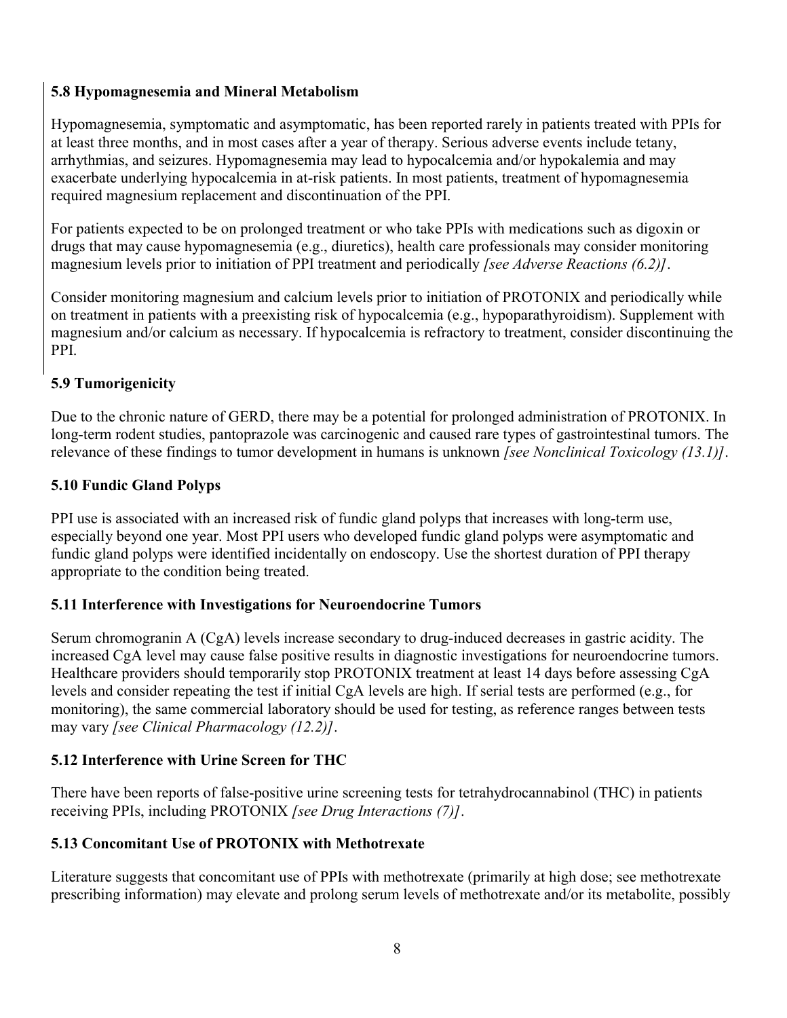# **5.8 Hypomagnesemia and Mineral Metabolism**

Hypomagnesemia, symptomatic and asymptomatic, has been reported rarely in patients treated with PPIs for at least three months, and in most cases after a year of therapy. Serious adverse events include tetany, arrhythmias, and seizures. Hypomagnesemia may lead to hypocalcemia and/or hypokalemia and may exacerbate underlying hypocalcemia in at-risk patients. In most patients, treatment of hypomagnesemia required magnesium replacement and discontinuation of the PPI.

For patients expected to be on prolonged treatment or who take PPIs with medications such as digoxin or drugs that may cause hypomagnesemia (e.g., diuretics), health care professionals may consider monitoring magnesium levels prior to initiation of PPI treatment and periodically *[see Adverse Reactions (6.2)]*.

Consider monitoring magnesium and calcium levels prior to initiation of PROTONIX and periodically while on treatment in patients with a preexisting risk of hypocalcemia (e.g., hypoparathyroidism). Supplement with magnesium and/or calcium as necessary. If hypocalcemia is refractory to treatment, consider discontinuing the PPI.

# **5.9 Tumorigenicity**

Due to the chronic nature of GERD, there may be a potential for prolonged administration of PROTONIX. In long-term rodent studies, pantoprazole was carcinogenic and caused rare types of gastrointestinal tumors. The relevance of these findings to tumor development in humans is unknown *[see Nonclinical Toxicology (13.1)]*.

# **5.10 Fundic Gland Polyps**

PPI use is associated with an increased risk of fundic gland polyps that increases with long-term use, especially beyond one year. Most PPI users who developed fundic gland polyps were asymptomatic and fundic gland polyps were identified incidentally on endoscopy. Use the shortest duration of PPI therapy appropriate to the condition being treated.

# **5.11 Interference with Investigations for Neuroendocrine Tumors**

Serum chromogranin A (CgA) levels increase secondary to drug-induced decreases in gastric acidity. The increased CgA level may cause false positive results in diagnostic investigations for neuroendocrine tumors. Healthcare providers should temporarily stop PROTONIX treatment at least 14 days before assessing CgA levels and consider repeating the test if initial CgA levels are high. If serial tests are performed (e.g., for monitoring), the same commercial laboratory should be used for testing, as reference ranges between tests may vary *[see Clinical Pharmacology (12.2)]*.

# **5.12 Interference with Urine Screen for THC**

There have been reports of false-positive urine screening tests for tetrahydrocannabinol (THC) in patients receiving PPIs, including PROTONIX *[see Drug Interactions (7)]*.

# **5.13 Concomitant Use of PROTONIX with Methotrexate**

Literature suggests that concomitant use of PPIs with methotrexate (primarily at high dose; see methotrexate prescribing information) may elevate and prolong serum levels of methotrexate and/or its metabolite, possibly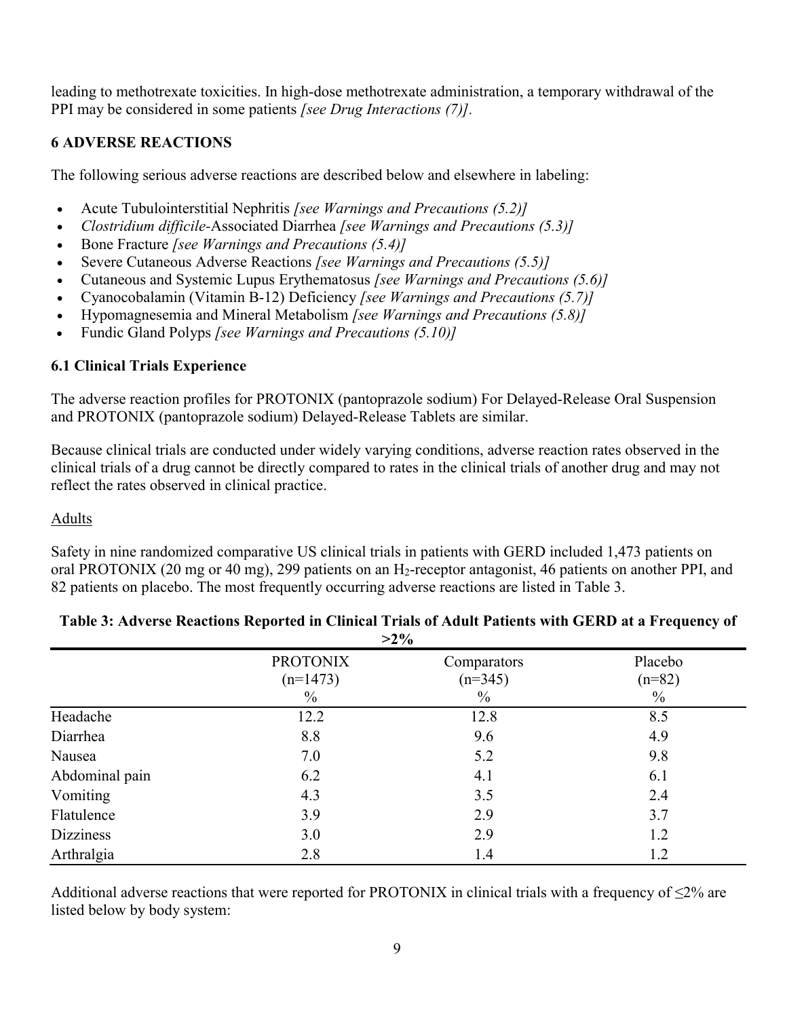leading to methotrexate toxicities. In high-dose methotrexate administration, a temporary withdrawal of the PPI may be considered in some patients *[see Drug Interactions (7)].*

## **6 ADVERSE REACTIONS**

The following serious adverse reactions are described below and elsewhere in labeling:

- Acute Tubulointerstitial Nephritis *[see Warnings and Precautions (5.2)]*
- *Clostridium difficile-*Associated Diarrhea *[see Warnings and Precautions (5.3)]*
- Bone Fracture *[see Warnings and Precautions (5.4)]*
- Severe Cutaneous Adverse Reactions *[see Warnings and Precautions (5.5)]*
- Cutaneous and Systemic Lupus Erythematosus *[see Warnings and Precautions (5.6)]*
- Cyanocobalamin (Vitamin B-12) Deficiency *[see Warnings and Precautions (5.7)]*
- Hypomagnesemia and Mineral Metabolism *[see Warnings and Precautions (5.8)]*
- Fundic Gland Polyps *[see Warnings and Precautions (5.10)]*

## **6.1 Clinical Trials Experience**

The adverse reaction profiles for PROTONIX (pantoprazole sodium) For Delayed-Release Oral Suspension and PROTONIX (pantoprazole sodium) Delayed-Release Tablets are similar.

Because clinical trials are conducted under widely varying conditions, adverse reaction rates observed in the clinical trials of a drug cannot be directly compared to rates in the clinical trials of another drug and may not reflect the rates observed in clinical practice.

## Adults

Safety in nine randomized comparative US clinical trials in patients with GERD included 1,473 patients on oral PROTONIX (20 mg or 40 mg), 299 patients on an H2-receptor antagonist, 46 patients on another PPI, and 82 patients on placebo. The most frequently occurring adverse reactions are listed in Table 3.

| $>2\%$           |                               |                          |                     |
|------------------|-------------------------------|--------------------------|---------------------|
|                  | <b>PROTONIX</b><br>$(n=1473)$ | Comparators<br>$(n=345)$ | Placebo<br>$(n=82)$ |
|                  | $\%$                          | $\frac{0}{0}$            | $\frac{0}{0}$       |
| Headache         | 12.2                          | 12.8                     | 8.5                 |
| Diarrhea         | 8.8                           | 9.6                      | 4.9                 |
| Nausea           | 7.0                           | 5.2                      | 9.8                 |
| Abdominal pain   | 6.2                           | 4.1                      | 6.1                 |
| Vomiting         | 4.3                           | 3.5                      | 2.4                 |
| Flatulence       | 3.9                           | 2.9                      | 3.7                 |
| <b>Dizziness</b> | 3.0                           | 2.9                      | 1.2                 |
| Arthralgia       | 2.8                           | 1.4                      | 1.2                 |

#### **Table 3: Adverse Reactions Reported in Clinical Trials of Adult Patients with GERD at a Frequency of >2%**

Additional adverse reactions that were reported for PROTONIX in clinical trials with a frequency of  $\leq 2\%$  are listed below by body system: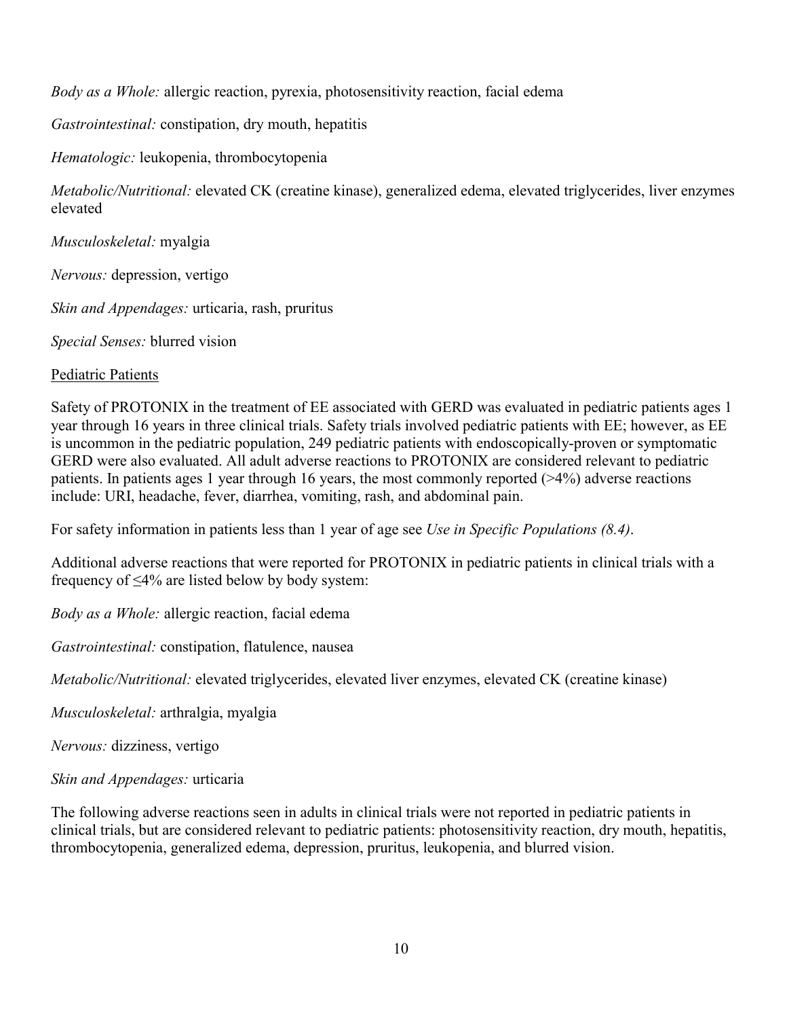*Body as a Whole:* allergic reaction, pyrexia, photosensitivity reaction, facial edema

*Gastrointestinal:* constipation, dry mouth, hepatitis

*Hematologic:* leukopenia, thrombocytopenia

*Metabolic/Nutritional:* elevated CK (creatine kinase), generalized edema, elevated triglycerides, liver enzymes elevated

*Musculoskeletal:* myalgia

*Nervous:* depression, vertigo

*Skin and Appendages:* urticaria, rash, pruritus

*Special Senses:* blurred vision

## Pediatric Patients

Safety of PROTONIX in the treatment of EE associated with GERD was evaluated in pediatric patients ages 1 year through 16 years in three clinical trials. Safety trials involved pediatric patients with EE; however, as EE is uncommon in the pediatric population, 249 pediatric patients with endoscopically-proven or symptomatic GERD were also evaluated. All adult adverse reactions to PROTONIX are considered relevant to pediatric patients. In patients ages 1 year through 16 years, the most commonly reported (>4%) adverse reactions include: URI, headache, fever, diarrhea, vomiting, rash, and abdominal pain.

For safety information in patients less than 1 year of age see *Use in Specific Populations (8.4)*.

Additional adverse reactions that were reported for PROTONIX in pediatric patients in clinical trials with a frequency of ≤4% are listed below by body system:

*Body as a Whole:* allergic reaction, facial edema

*Gastrointestinal:* constipation, flatulence, nausea

*Metabolic/Nutritional:* elevated triglycerides, elevated liver enzymes, elevated CK (creatine kinase)

*Musculoskeletal:* arthralgia, myalgia

*Nervous:* dizziness, vertigo

*Skin and Appendages:* urticaria

The following adverse reactions seen in adults in clinical trials were not reported in pediatric patients in clinical trials, but are considered relevant to pediatric patients: photosensitivity reaction, dry mouth, hepatitis, thrombocytopenia, generalized edema, depression, pruritus, leukopenia, and blurred vision.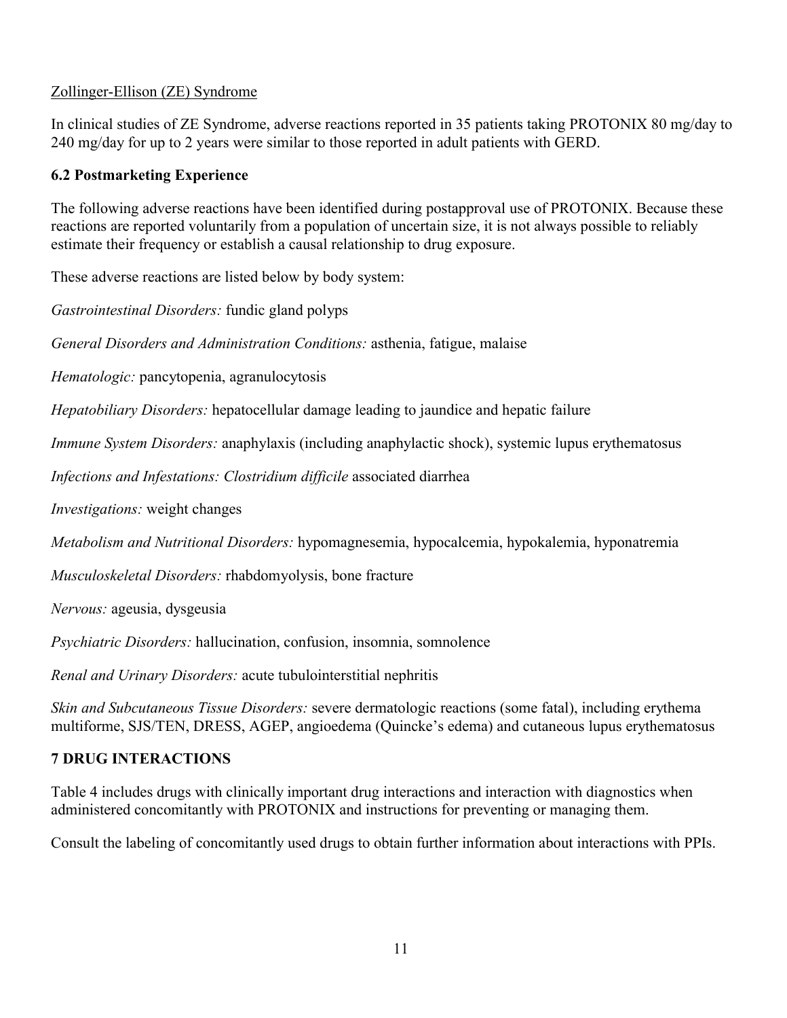## Zollinger-Ellison (ZE) Syndrome

In clinical studies of ZE Syndrome, adverse reactions reported in 35 patients taking PROTONIX 80 mg/day to 240 mg/day for up to 2 years were similar to those reported in adult patients with GERD.

## **6.2 Postmarketing Experience**

The following adverse reactions have been identified during postapproval use of PROTONIX. Because these reactions are reported voluntarily from a population of uncertain size, it is not always possible to reliably estimate their frequency or establish a causal relationship to drug exposure.

These adverse reactions are listed below by body system:

*Gastrointestinal Disorders:* fundic gland polyps

*General Disorders and Administration Conditions:* asthenia, fatigue, malaise

*Hematologic:* pancytopenia, agranulocytosis

*Hepatobiliary Disorders:* hepatocellular damage leading to jaundice and hepatic failure

*Immune System Disorders:* anaphylaxis (including anaphylactic shock), systemic lupus erythematosus

*Infections and Infestations: Clostridium difficile* associated diarrhea

*Investigations:* weight changes

*Metabolism and Nutritional Disorders:* hypomagnesemia, hypocalcemia, hypokalemia, hyponatremia

*Musculoskeletal Disorders:* rhabdomyolysis, bone fracture

*Nervous:* ageusia, dysgeusia

*Psychiatric Disorders:* hallucination, confusion, insomnia, somnolence

*Renal and Urinary Disorders:* acute tubulointerstitial nephritis

*Skin and Subcutaneous Tissue Disorders:* severe dermatologic reactions (some fatal), including erythema multiforme, SJS/TEN, DRESS, AGEP, angioedema (Quincke's edema) and cutaneous lupus erythematosus

## **7 DRUG INTERACTIONS**

Table 4 includes drugs with clinically important drug interactions and interaction with diagnostics when administered concomitantly with PROTONIX and instructions for preventing or managing them.

Consult the labeling of concomitantly used drugs to obtain further information about interactions with PPIs.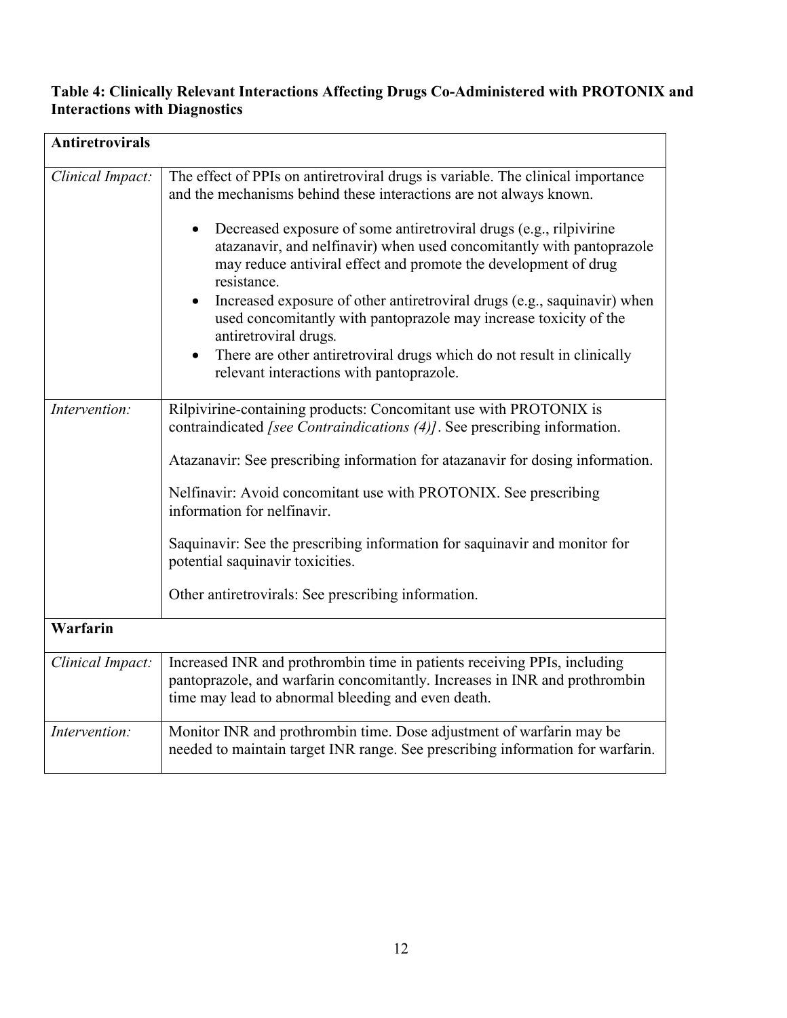### **Table 4: Clinically Relevant Interactions Affecting Drugs Co-Administered with PROTONIX and Interactions with Diagnostics**

| <b>Antiretrovirals</b> |                                                                                                                                                                                                                                                                                                                                                                                                                                                                                                                                                                                                                                                         |
|------------------------|---------------------------------------------------------------------------------------------------------------------------------------------------------------------------------------------------------------------------------------------------------------------------------------------------------------------------------------------------------------------------------------------------------------------------------------------------------------------------------------------------------------------------------------------------------------------------------------------------------------------------------------------------------|
| Clinical Impact:       | The effect of PPIs on antiretroviral drugs is variable. The clinical importance<br>and the mechanisms behind these interactions are not always known.<br>Decreased exposure of some antiretroviral drugs (e.g., rilpivirine<br>$\bullet$<br>atazanavir, and nelfinavir) when used concomitantly with pantoprazole<br>may reduce antiviral effect and promote the development of drug<br>resistance.<br>Increased exposure of other antiretroviral drugs (e.g., saquinavir) when<br>used concomitantly with pantoprazole may increase toxicity of the<br>antiretroviral drugs.<br>There are other antiretroviral drugs which do not result in clinically |
|                        | relevant interactions with pantoprazole.                                                                                                                                                                                                                                                                                                                                                                                                                                                                                                                                                                                                                |
| Intervention:          | Rilpivirine-containing products: Concomitant use with PROTONIX is<br>contraindicated [see Contraindications (4)]. See prescribing information.<br>Atazanavir: See prescribing information for atazanavir for dosing information.<br>Nelfinavir: Avoid concomitant use with PROTONIX. See prescribing<br>information for nelfinavir.<br>Saquinavir: See the prescribing information for saquinavir and monitor for<br>potential saquinavir toxicities.<br>Other antiretrovirals: See prescribing information.                                                                                                                                            |
| Warfarin               |                                                                                                                                                                                                                                                                                                                                                                                                                                                                                                                                                                                                                                                         |
| Clinical Impact:       | Increased INR and prothrombin time in patients receiving PPIs, including<br>pantoprazole, and warfarin concomitantly. Increases in INR and prothrombin<br>time may lead to abnormal bleeding and even death.                                                                                                                                                                                                                                                                                                                                                                                                                                            |
| Intervention:          | Monitor INR and prothrombin time. Dose adjustment of warfarin may be<br>needed to maintain target INR range. See prescribing information for warfarin.                                                                                                                                                                                                                                                                                                                                                                                                                                                                                                  |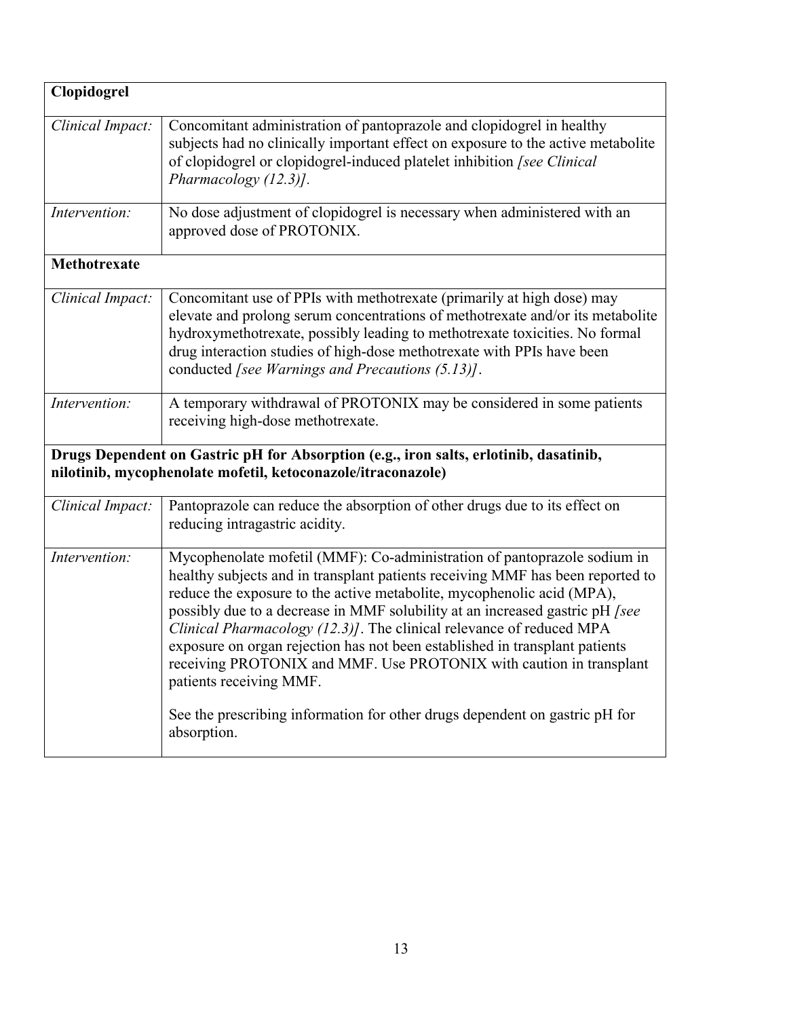| Clopidogrel         |                                                                                                                                                                                                                                                                                                                                                                                                                                                                                                                                                                                                                                                                             |
|---------------------|-----------------------------------------------------------------------------------------------------------------------------------------------------------------------------------------------------------------------------------------------------------------------------------------------------------------------------------------------------------------------------------------------------------------------------------------------------------------------------------------------------------------------------------------------------------------------------------------------------------------------------------------------------------------------------|
| Clinical Impact:    | Concomitant administration of pantoprazole and clopidogrel in healthy<br>subjects had no clinically important effect on exposure to the active metabolite<br>of clopidogrel or clopidogrel-induced platelet inhibition [see Clinical<br>Pharmacology (12.3)].                                                                                                                                                                                                                                                                                                                                                                                                               |
| Intervention:       | No dose adjustment of clopidogrel is necessary when administered with an<br>approved dose of PROTONIX.                                                                                                                                                                                                                                                                                                                                                                                                                                                                                                                                                                      |
| <b>Methotrexate</b> |                                                                                                                                                                                                                                                                                                                                                                                                                                                                                                                                                                                                                                                                             |
| Clinical Impact:    | Concomitant use of PPIs with methotrexate (primarily at high dose) may<br>elevate and prolong serum concentrations of methotrexate and/or its metabolite<br>hydroxymethotrexate, possibly leading to methotrexate toxicities. No formal<br>drug interaction studies of high-dose methotrexate with PPIs have been<br>conducted [see Warnings and Precautions (5.13)].                                                                                                                                                                                                                                                                                                       |
| Intervention:       | A temporary withdrawal of PROTONIX may be considered in some patients<br>receiving high-dose methotrexate.                                                                                                                                                                                                                                                                                                                                                                                                                                                                                                                                                                  |
|                     | Drugs Dependent on Gastric pH for Absorption (e.g., iron salts, erlotinib, dasatinib,<br>nilotinib, mycophenolate mofetil, ketoconazole/itraconazole)                                                                                                                                                                                                                                                                                                                                                                                                                                                                                                                       |
| Clinical Impact:    | Pantoprazole can reduce the absorption of other drugs due to its effect on<br>reducing intragastric acidity.                                                                                                                                                                                                                                                                                                                                                                                                                                                                                                                                                                |
| Intervention:       | Mycophenolate mofetil (MMF): Co-administration of pantoprazole sodium in<br>healthy subjects and in transplant patients receiving MMF has been reported to<br>reduce the exposure to the active metabolite, mycophenolic acid (MPA),<br>possibly due to a decrease in MMF solubility at an increased gastric pH [see<br>Clinical Pharmacology (12.3)]. The clinical relevance of reduced MPA<br>exposure on organ rejection has not been established in transplant patients<br>receiving PROTONIX and MMF. Use PROTONIX with caution in transplant<br>patients receiving MMF.<br>See the prescribing information for other drugs dependent on gastric pH for<br>absorption. |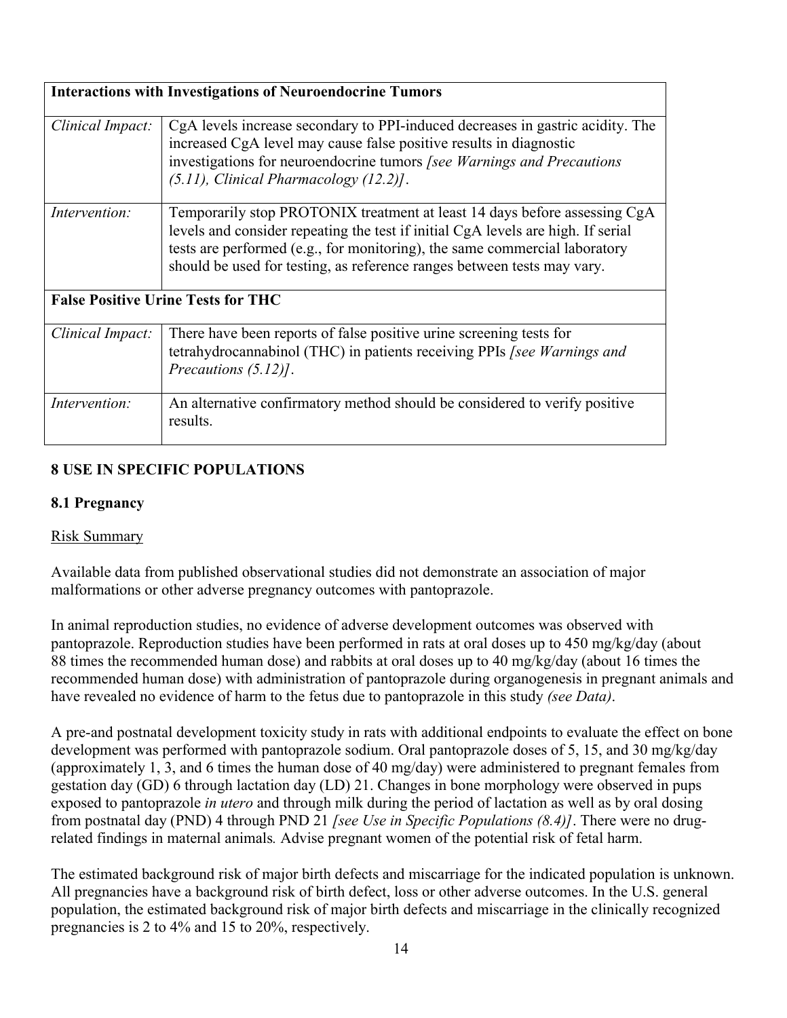|                  | <b>Interactions with Investigations of Neuroendocrine Tumors</b>                                                                                                                                                                                                                                                       |
|------------------|------------------------------------------------------------------------------------------------------------------------------------------------------------------------------------------------------------------------------------------------------------------------------------------------------------------------|
| Clinical Impact: | CgA levels increase secondary to PPI-induced decreases in gastric acidity. The<br>increased CgA level may cause false positive results in diagnostic<br>investigations for neuroendocrine tumors [see Warnings and Precautions<br>$(5.11)$ , Clinical Pharmacology $(12.2)$ .                                          |
| Intervention:    | Temporarily stop PROTONIX treatment at least 14 days before assessing CgA<br>levels and consider repeating the test if initial CgA levels are high. If serial<br>tests are performed (e.g., for monitoring), the same commercial laboratory<br>should be used for testing, as reference ranges between tests may vary. |
|                  | <b>False Positive Urine Tests for THC</b>                                                                                                                                                                                                                                                                              |
| Clinical Impact: | There have been reports of false positive urine screening tests for<br>tetrahydrocannabinol (THC) in patients receiving PPIs [see Warnings and<br>Precautions $(5.12)$ .                                                                                                                                               |
| Intervention:    | An alternative confirmatory method should be considered to verify positive<br>results.                                                                                                                                                                                                                                 |

# **8 USE IN SPECIFIC POPULATIONS**

## **8.1 Pregnancy**

## Risk Summary

Available data from published observational studies did not demonstrate an association of major malformations or other adverse pregnancy outcomes with pantoprazole.

In animal reproduction studies, no evidence of adverse development outcomes was observed with pantoprazole. Reproduction studies have been performed in rats at oral doses up to 450 mg/kg/day (about 88 times the recommended human dose) and rabbits at oral doses up to 40 mg/kg/day (about 16 times the recommended human dose) with administration of pantoprazole during organogenesis in pregnant animals and have revealed no evidence of harm to the fetus due to pantoprazole in this study *(see Data)*.

A pre-and postnatal development toxicity study in rats with additional endpoints to evaluate the effect on bone development was performed with pantoprazole sodium. Oral pantoprazole doses of 5, 15, and 30 mg/kg/day (approximately 1, 3, and 6 times the human dose of 40 mg/day) were administered to pregnant females from gestation day (GD) 6 through lactation day (LD) 21. Changes in bone morphology were observed in pups exposed to pantoprazole *in utero* and through milk during the period of lactation as well as by oral dosing from postnatal day (PND) 4 through PND 21 *[see Use in Specific Populations (8.4)]*. There were no drugrelated findings in maternal animals*.* Advise pregnant women of the potential risk of fetal harm.

The estimated background risk of major birth defects and miscarriage for the indicated population is unknown. All pregnancies have a background risk of birth defect, loss or other adverse outcomes. In the U.S. general population, the estimated background risk of major birth defects and miscarriage in the clinically recognized pregnancies is 2 to 4% and 15 to 20%, respectively.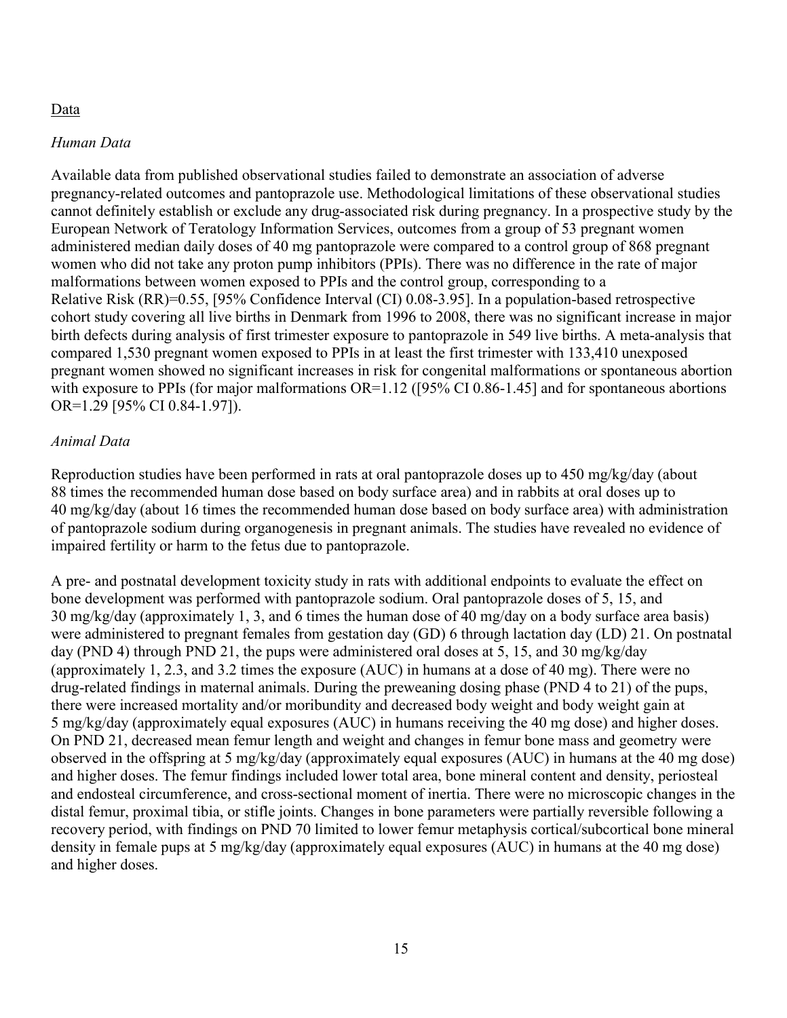### Data

#### *Human Data*

Available data from published observational studies failed to demonstrate an association of adverse pregnancy-related outcomes and pantoprazole use. Methodological limitations of these observational studies cannot definitely establish or exclude any drug-associated risk during pregnancy. In a prospective study by the European Network of Teratology Information Services, outcomes from a group of 53 pregnant women administered median daily doses of 40 mg pantoprazole were compared to a control group of 868 pregnant women who did not take any proton pump inhibitors (PPIs). There was no difference in the rate of major malformations between women exposed to PPIs and the control group, corresponding to a Relative Risk (RR)=0.55, [95% Confidence Interval (CI) 0.08-3.95]. In a population-based retrospective cohort study covering all live births in Denmark from 1996 to 2008, there was no significant increase in major birth defects during analysis of first trimester exposure to pantoprazole in 549 live births. A meta-analysis that compared 1,530 pregnant women exposed to PPIs in at least the first trimester with 133,410 unexposed pregnant women showed no significant increases in risk for congenital malformations or spontaneous abortion with exposure to PPIs (for major malformations OR=1.12 ([95% CI 0.86-1.45] and for spontaneous abortions OR=1.29 [95% CI 0.84-1.97]).

#### *Animal Data*

Reproduction studies have been performed in rats at oral pantoprazole doses up to 450 mg/kg/day (about 88 times the recommended human dose based on body surface area) and in rabbits at oral doses up to 40 mg/kg/day (about 16 times the recommended human dose based on body surface area) with administration of pantoprazole sodium during organogenesis in pregnant animals. The studies have revealed no evidence of impaired fertility or harm to the fetus due to pantoprazole.

A pre- and postnatal development toxicity study in rats with additional endpoints to evaluate the effect on bone development was performed with pantoprazole sodium. Oral pantoprazole doses of 5, 15, and 30 mg/kg/day (approximately 1, 3, and 6 times the human dose of 40 mg/day on a body surface area basis) were administered to pregnant females from gestation day (GD) 6 through lactation day (LD) 21. On postnatal day (PND 4) through PND 21, the pups were administered oral doses at 5, 15, and 30 mg/kg/day (approximately 1, 2.3, and 3.2 times the exposure (AUC) in humans at a dose of 40 mg). There were no drug-related findings in maternal animals. During the preweaning dosing phase (PND 4 to 21) of the pups, there were increased mortality and/or moribundity and decreased body weight and body weight gain at 5 mg/kg/day (approximately equal exposures (AUC) in humans receiving the 40 mg dose) and higher doses. On PND 21, decreased mean femur length and weight and changes in femur bone mass and geometry were observed in the offspring at 5 mg/kg/day (approximately equal exposures (AUC) in humans at the 40 mg dose) and higher doses. The femur findings included lower total area, bone mineral content and density, periosteal and endosteal circumference, and cross-sectional moment of inertia. There were no microscopic changes in the distal femur, proximal tibia, or stifle joints. Changes in bone parameters were partially reversible following a recovery period, with findings on PND 70 limited to lower femur metaphysis cortical/subcortical bone mineral density in female pups at 5 mg/kg/day (approximately equal exposures (AUC) in humans at the 40 mg dose) and higher doses.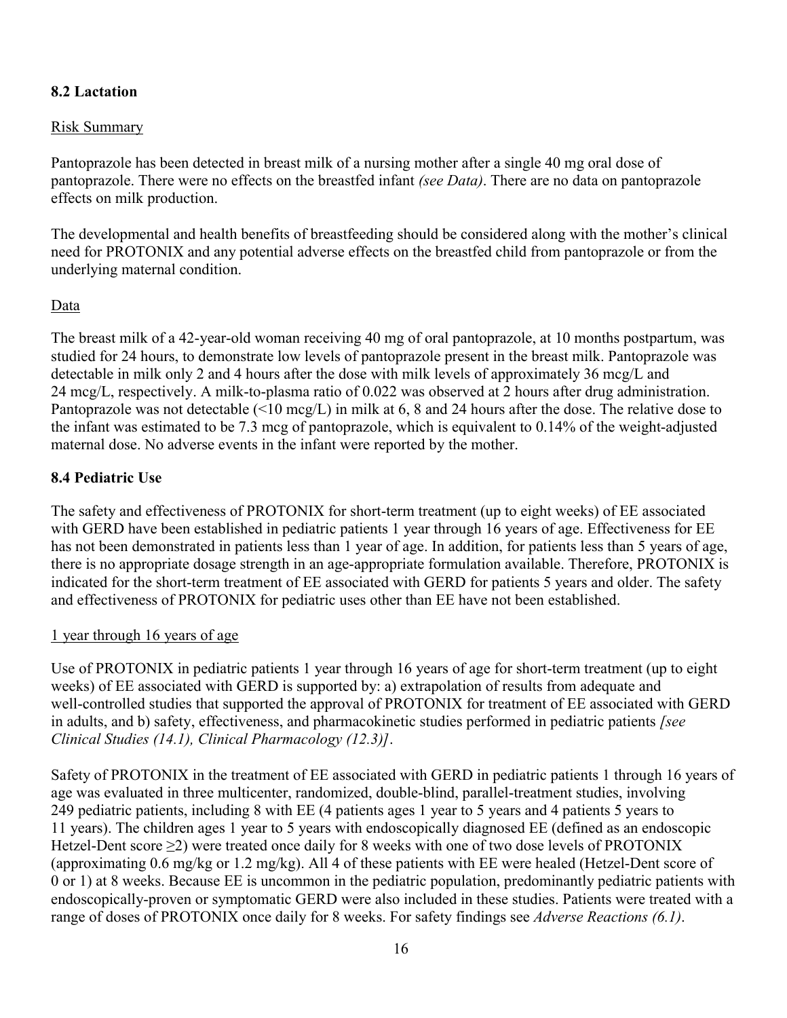## **8.2 Lactation**

### Risk Summary

Pantoprazole has been detected in breast milk of a nursing mother after a single 40 mg oral dose of pantoprazole. There were no effects on the breastfed infant *(see Data)*. There are no data on pantoprazole effects on milk production.

The developmental and health benefits of breastfeeding should be considered along with the mother's clinical need for PROTONIX and any potential adverse effects on the breastfed child from pantoprazole or from the underlying maternal condition.

#### Data

The breast milk of a 42-year-old woman receiving 40 mg of oral pantoprazole, at 10 months postpartum, was studied for 24 hours, to demonstrate low levels of pantoprazole present in the breast milk. Pantoprazole was detectable in milk only 2 and 4 hours after the dose with milk levels of approximately 36 mcg/L and 24 mcg/L, respectively. A milk-to-plasma ratio of 0.022 was observed at 2 hours after drug administration. Pantoprazole was not detectable (<10 mcg/L) in milk at 6, 8 and 24 hours after the dose. The relative dose to the infant was estimated to be 7.3 mcg of pantoprazole, which is equivalent to 0.14% of the weight-adjusted maternal dose. No adverse events in the infant were reported by the mother.

## **8.4 Pediatric Use**

The safety and effectiveness of PROTONIX for short-term treatment (up to eight weeks) of EE associated with GERD have been established in pediatric patients 1 year through 16 years of age. Effectiveness for EE has not been demonstrated in patients less than 1 year of age. In addition, for patients less than 5 years of age, there is no appropriate dosage strength in an age-appropriate formulation available. Therefore, PROTONIX is indicated for the short-term treatment of EE associated with GERD for patients 5 years and older. The safety and effectiveness of PROTONIX for pediatric uses other than EE have not been established.

#### 1 year through 16 years of age

Use of PROTONIX in pediatric patients 1 year through 16 years of age for short-term treatment (up to eight weeks) of EE associated with GERD is supported by: a) extrapolation of results from adequate and well-controlled studies that supported the approval of PROTONIX for treatment of EE associated with GERD in adults, and b) safety, effectiveness, and pharmacokinetic studies performed in pediatric patients *[see Clinical Studies (14.1), Clinical Pharmacology (12.3)]*.

Safety of PROTONIX in the treatment of EE associated with GERD in pediatric patients 1 through 16 years of age was evaluated in three multicenter, randomized, double-blind, parallel-treatment studies, involving 249 pediatric patients, including 8 with EE (4 patients ages 1 year to 5 years and 4 patients 5 years to 11 years). The children ages 1 year to 5 years with endoscopically diagnosed EE (defined as an endoscopic Hetzel-Dent score  $\geq$ 2) were treated once daily for 8 weeks with one of two dose levels of PROTONIX (approximating 0.6 mg/kg or 1.2 mg/kg). All 4 of these patients with EE were healed (Hetzel-Dent score of 0 or 1) at 8 weeks. Because EE is uncommon in the pediatric population, predominantly pediatric patients with endoscopically-proven or symptomatic GERD were also included in these studies. Patients were treated with a range of doses of PROTONIX once daily for 8 weeks. For safety findings see *Adverse Reactions (6.1)*.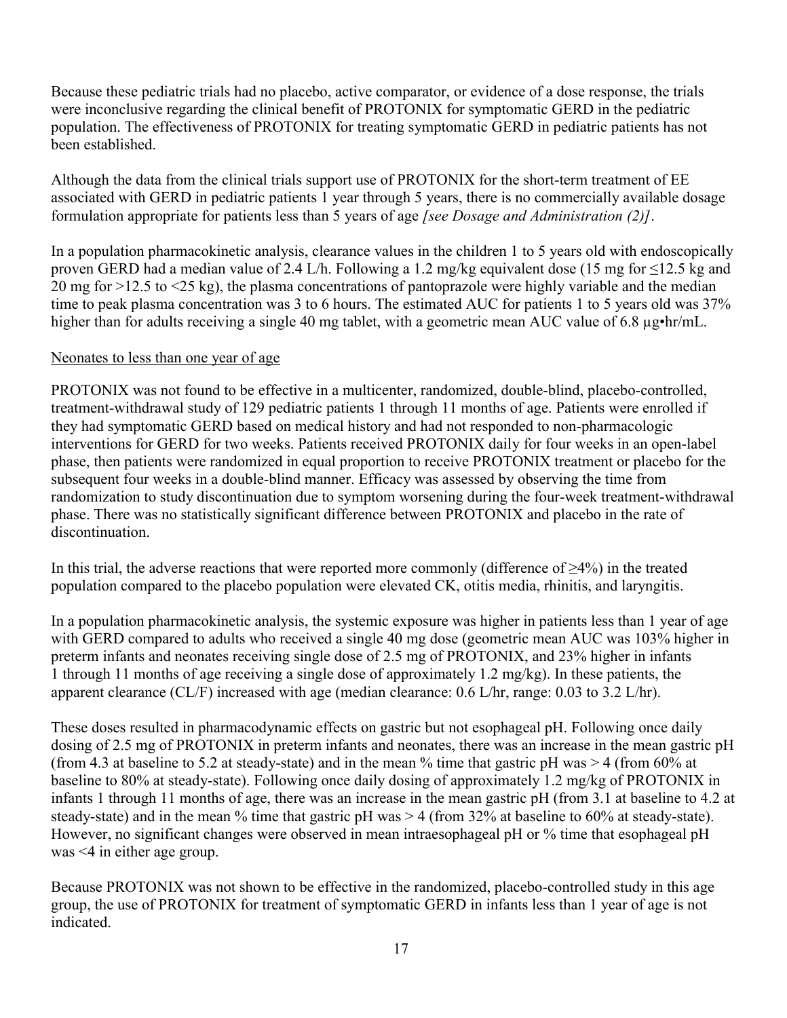Because these pediatric trials had no placebo, active comparator, or evidence of a dose response, the trials were inconclusive regarding the clinical benefit of PROTONIX for symptomatic GERD in the pediatric population. The effectiveness of PROTONIX for treating symptomatic GERD in pediatric patients has not been established.

Although the data from the clinical trials support use of PROTONIX for the short-term treatment of EE associated with GERD in pediatric patients 1 year through 5 years, there is no commercially available dosage formulation appropriate for patients less than 5 years of age *[see Dosage and Administration (2)]*.

In a population pharmacokinetic analysis, clearance values in the children 1 to 5 years old with endoscopically proven GERD had a median value of 2.4 L/h. Following a 1.2 mg/kg equivalent dose (15 mg for  $\leq$ 12.5 kg and 20 mg for >12.5 to <25 kg), the plasma concentrations of pantoprazole were highly variable and the median time to peak plasma concentration was 3 to 6 hours. The estimated AUC for patients 1 to 5 years old was 37% higher than for adults receiving a single 40 mg tablet, with a geometric mean AUC value of 6.8  $\mu$ g•hr/mL.

## Neonates to less than one year of age

PROTONIX was not found to be effective in a multicenter, randomized, double-blind, placebo-controlled, treatment-withdrawal study of 129 pediatric patients 1 through 11 months of age. Patients were enrolled if they had symptomatic GERD based on medical history and had not responded to non-pharmacologic interventions for GERD for two weeks. Patients received PROTONIX daily for four weeks in an open-label phase, then patients were randomized in equal proportion to receive PROTONIX treatment or placebo for the subsequent four weeks in a double-blind manner. Efficacy was assessed by observing the time from randomization to study discontinuation due to symptom worsening during the four-week treatment-withdrawal phase. There was no statistically significant difference between PROTONIX and placebo in the rate of discontinuation.

In this trial, the adverse reactions that were reported more commonly (difference of ≥4%) in the treated population compared to the placebo population were elevated CK, otitis media, rhinitis, and laryngitis.

In a population pharmacokinetic analysis, the systemic exposure was higher in patients less than 1 year of age with GERD compared to adults who received a single 40 mg dose (geometric mean AUC was 103% higher in preterm infants and neonates receiving single dose of 2.5 mg of PROTONIX, and 23% higher in infants 1 through 11 months of age receiving a single dose of approximately 1.2 mg/kg). In these patients, the apparent clearance (CL/F) increased with age (median clearance: 0.6 L/hr, range: 0.03 to 3.2 L/hr).

These doses resulted in pharmacodynamic effects on gastric but not esophageal pH. Following once daily dosing of 2.5 mg of PROTONIX in preterm infants and neonates, there was an increase in the mean gastric pH (from 4.3 at baseline to 5.2 at steady-state) and in the mean % time that gastric pH was  $> 4$  (from 60% at baseline to 80% at steady-state). Following once daily dosing of approximately 1.2 mg/kg of PROTONIX in infants 1 through 11 months of age, there was an increase in the mean gastric pH (from 3.1 at baseline to 4.2 at steady-state) and in the mean % time that gastric pH was > 4 (from 32% at baseline to 60% at steady-state). However, no significant changes were observed in mean intraesophageal pH or % time that esophageal pH was <4 in either age group.

Because PROTONIX was not shown to be effective in the randomized, placebo-controlled study in this age group, the use of PROTONIX for treatment of symptomatic GERD in infants less than 1 year of age is not indicated.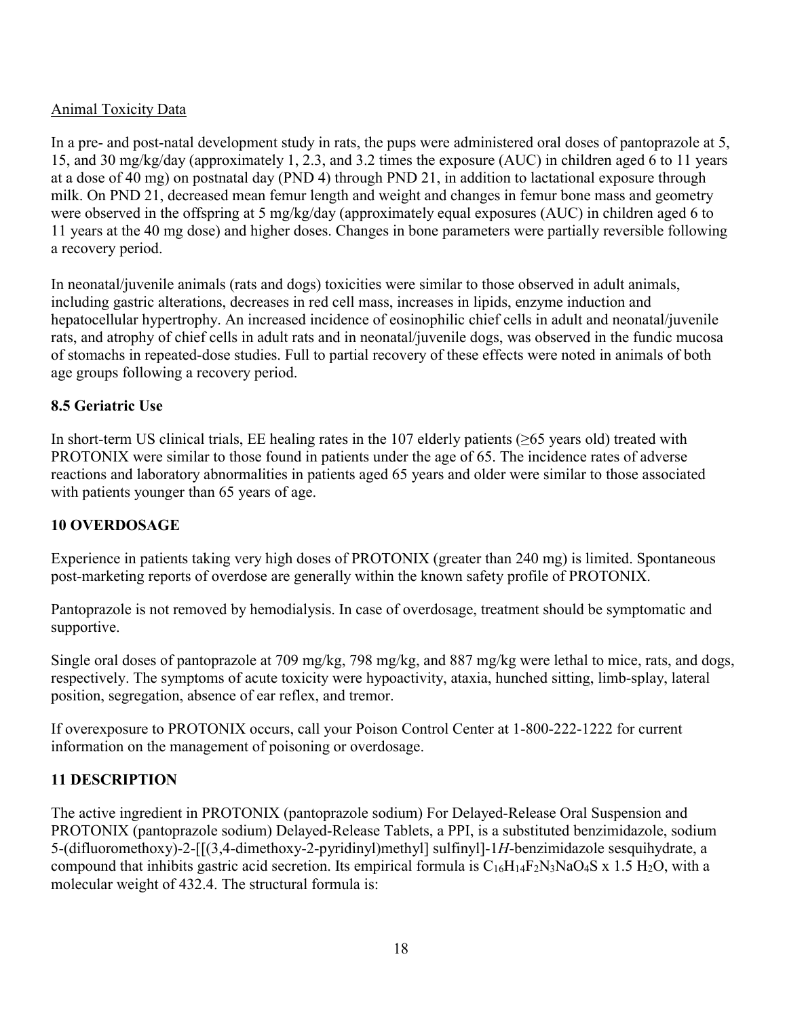## Animal Toxicity Data

In a pre- and post-natal development study in rats, the pups were administered oral doses of pantoprazole at 5, 15, and 30 mg/kg/day (approximately 1, 2.3, and 3.2 times the exposure (AUC) in children aged 6 to 11 years at a dose of 40 mg) on postnatal day (PND 4) through PND 21, in addition to lactational exposure through milk. On PND 21, decreased mean femur length and weight and changes in femur bone mass and geometry were observed in the offspring at 5 mg/kg/day (approximately equal exposures (AUC) in children aged 6 to 11 years at the 40 mg dose) and higher doses. Changes in bone parameters were partially reversible following a recovery period.

In neonatal/juvenile animals (rats and dogs) toxicities were similar to those observed in adult animals, including gastric alterations, decreases in red cell mass, increases in lipids, enzyme induction and hepatocellular hypertrophy. An increased incidence of eosinophilic chief cells in adult and neonatal/juvenile rats, and atrophy of chief cells in adult rats and in neonatal/juvenile dogs, was observed in the fundic mucosa of stomachs in repeated-dose studies. Full to partial recovery of these effects were noted in animals of both age groups following a recovery period.

## **8.5 Geriatric Use**

In short-term US clinical trials, EE healing rates in the 107 elderly patients (≥65 years old) treated with PROTONIX were similar to those found in patients under the age of 65. The incidence rates of adverse reactions and laboratory abnormalities in patients aged 65 years and older were similar to those associated with patients younger than 65 years of age.

## **10 OVERDOSAGE**

Experience in patients taking very high doses of PROTONIX (greater than 240 mg) is limited. Spontaneous post-marketing reports of overdose are generally within the known safety profile of PROTONIX.

Pantoprazole is not removed by hemodialysis. In case of overdosage, treatment should be symptomatic and supportive.

Single oral doses of pantoprazole at 709 mg/kg, 798 mg/kg, and 887 mg/kg were lethal to mice, rats, and dogs, respectively. The symptoms of acute toxicity were hypoactivity, ataxia, hunched sitting, limb-splay, lateral position, segregation, absence of ear reflex, and tremor.

If overexposure to PROTONIX occurs, call your Poison Control Center at 1-800-222-1222 for current information on the management of poisoning or overdosage.

# **11 DESCRIPTION**

The active ingredient in PROTONIX (pantoprazole sodium) For Delayed-Release Oral Suspension and PROTONIX (pantoprazole sodium) Delayed-Release Tablets, a PPI, is a substituted benzimidazole, sodium 5-(difluoromethoxy)-2-[[(3,4-dimethoxy-2-pyridinyl)methyl] sulfinyl]-1*H*-benzimidazole sesquihydrate, a compound that inhibits gastric acid secretion. Its empirical formula is  $C_{16}H_{14}F_2N_3NaO_4S \times 1.5 H_2O$ , with a molecular weight of 432.4. The structural formula is: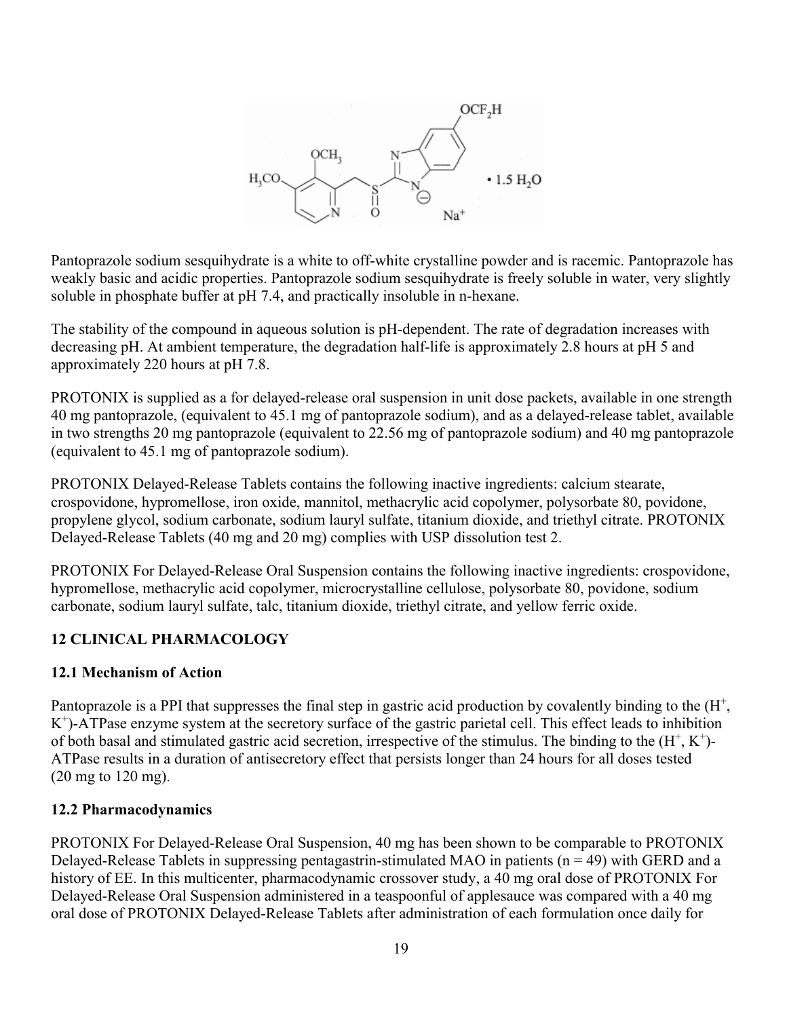

Pantoprazole sodium sesquihydrate is a white to off-white crystalline powder and is racemic. Pantoprazole has weakly basic and acidic properties. Pantoprazole sodium sesquihydrate is freely soluble in water, very slightly soluble in phosphate buffer at pH 7.4, and practically insoluble in n-hexane.

The stability of the compound in aqueous solution is pH-dependent. The rate of degradation increases with decreasing pH. At ambient temperature, the degradation half-life is approximately 2.8 hours at pH 5 and approximately 220 hours at pH 7.8.

PROTONIX is supplied as a for delayed-release oral suspension in unit dose packets, available in one strength 40 mg pantoprazole, (equivalent to 45.1 mg of pantoprazole sodium), and as a delayed-release tablet, available in two strengths 20 mg pantoprazole (equivalent to 22.56 mg of pantoprazole sodium) and 40 mg pantoprazole (equivalent to 45.1 mg of pantoprazole sodium).

PROTONIX Delayed-Release Tablets contains the following inactive ingredients: calcium stearate, crospovidone, hypromellose, iron oxide, mannitol, methacrylic acid copolymer, polysorbate 80, povidone, propylene glycol, sodium carbonate, sodium lauryl sulfate, titanium dioxide, and triethyl citrate. PROTONIX Delayed-Release Tablets (40 mg and 20 mg) complies with USP dissolution test 2.

PROTONIX For Delayed-Release Oral Suspension contains the following inactive ingredients: crospovidone, hypromellose, methacrylic acid copolymer, microcrystalline cellulose, polysorbate 80, povidone, sodium carbonate, sodium lauryl sulfate, talc, titanium dioxide, triethyl citrate, and yellow ferric oxide.

# **12 CLINICAL PHARMACOLOGY**

# **12.1 Mechanism of Action**

Pantoprazole is a PPI that suppresses the final step in gastric acid production by covalently binding to the  $(H<sup>+</sup>,$ K + )-ATPase enzyme system at the secretory surface of the gastric parietal cell. This effect leads to inhibition of both basal and stimulated gastric acid secretion, irrespective of the stimulus. The binding to the  $(H^+, K^+)$ -ATPase results in a duration of antisecretory effect that persists longer than 24 hours for all doses tested (20 mg to 120 mg).

# **12.2 Pharmacodynamics**

PROTONIX For Delayed-Release Oral Suspension, 40 mg has been shown to be comparable to PROTONIX Delayed-Release Tablets in suppressing pentagastrin-stimulated MAO in patients  $(n = 49)$  with GERD and a history of EE. In this multicenter, pharmacodynamic crossover study, a 40 mg oral dose of PROTONIX For Delayed-Release Oral Suspension administered in a teaspoonful of applesauce was compared with a 40 mg oral dose of PROTONIX Delayed-Release Tablets after administration of each formulation once daily for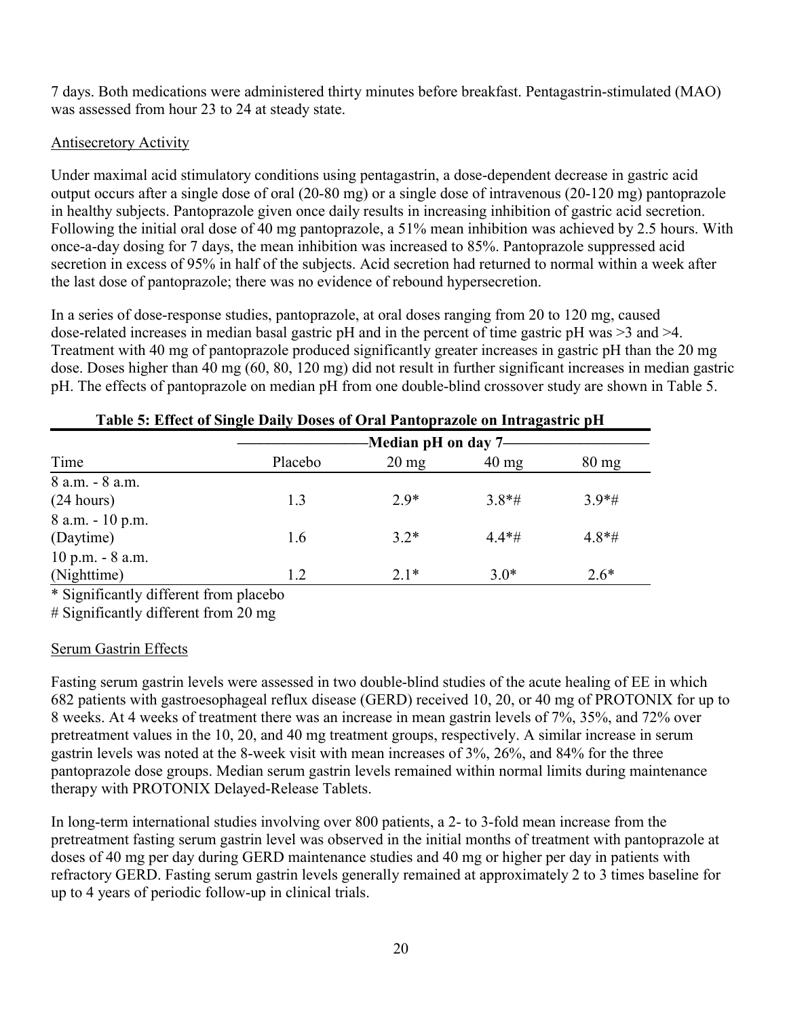7 days. Both medications were administered thirty minutes before breakfast. Pentagastrin-stimulated (MAO) was assessed from hour 23 to 24 at steady state.

## Antisecretory Activity

Under maximal acid stimulatory conditions using pentagastrin, a dose-dependent decrease in gastric acid output occurs after a single dose of oral (20-80 mg) or a single dose of intravenous (20-120 mg) pantoprazole in healthy subjects. Pantoprazole given once daily results in increasing inhibition of gastric acid secretion. Following the initial oral dose of 40 mg pantoprazole, a 51% mean inhibition was achieved by 2.5 hours. With once-a-day dosing for 7 days, the mean inhibition was increased to 85%. Pantoprazole suppressed acid secretion in excess of 95% in half of the subjects. Acid secretion had returned to normal within a week after the last dose of pantoprazole; there was no evidence of rebound hypersecretion.

In a series of dose-response studies, pantoprazole, at oral doses ranging from 20 to 120 mg, caused dose-related increases in median basal gastric pH and in the percent of time gastric pH was >3 and >4. Treatment with 40 mg of pantoprazole produced significantly greater increases in gastric pH than the 20 mg dose. Doses higher than 40 mg (60, 80, 120 mg) did not result in further significant increases in median gastric pH. The effects of pantoprazole on median pH from one double-blind crossover study are shown in Table 5.

|                                     | -Median pH on day 7- |                 |                 |                 |
|-------------------------------------|----------------------|-----------------|-----------------|-----------------|
| Time                                | Placebo              | $20 \text{ mg}$ | $40 \text{ mg}$ | $80 \text{ mg}$ |
| 8 a.m. - 8 a.m.                     |                      |                 |                 |                 |
| (24 hours)                          | 1.3                  | $2.9*$          | $3.8*$ #        | $3.9*$ #        |
| 8 a.m. - 10 p.m.<br>(Daytime)       | 1.6                  | $3.2*$          | $4.4*$ #        | $4.8*$ #        |
| $10$ p.m. $- 8$ a.m.<br>(Nighttime) | 1.2                  | $2.1*$          | $3.0*$          | $2.6*$          |

|  | Table 5: Effect of Single Daily Doses of Oral Pantoprazole on Intragastric pH |
|--|-------------------------------------------------------------------------------|
|  |                                                                               |

\* Significantly different from placebo

# Significantly different from 20 mg

## Serum Gastrin Effects

Fasting serum gastrin levels were assessed in two double-blind studies of the acute healing of EE in which 682 patients with gastroesophageal reflux disease (GERD) received 10, 20, or 40 mg of PROTONIX for up to 8 weeks. At 4 weeks of treatment there was an increase in mean gastrin levels of 7%, 35%, and 72% over pretreatment values in the 10, 20, and 40 mg treatment groups, respectively. A similar increase in serum gastrin levels was noted at the 8-week visit with mean increases of 3%, 26%, and 84% for the three pantoprazole dose groups. Median serum gastrin levels remained within normal limits during maintenance therapy with PROTONIX Delayed-Release Tablets.

In long-term international studies involving over 800 patients, a 2- to 3-fold mean increase from the pretreatment fasting serum gastrin level was observed in the initial months of treatment with pantoprazole at doses of 40 mg per day during GERD maintenance studies and 40 mg or higher per day in patients with refractory GERD. Fasting serum gastrin levels generally remained at approximately 2 to 3 times baseline for up to 4 years of periodic follow-up in clinical trials.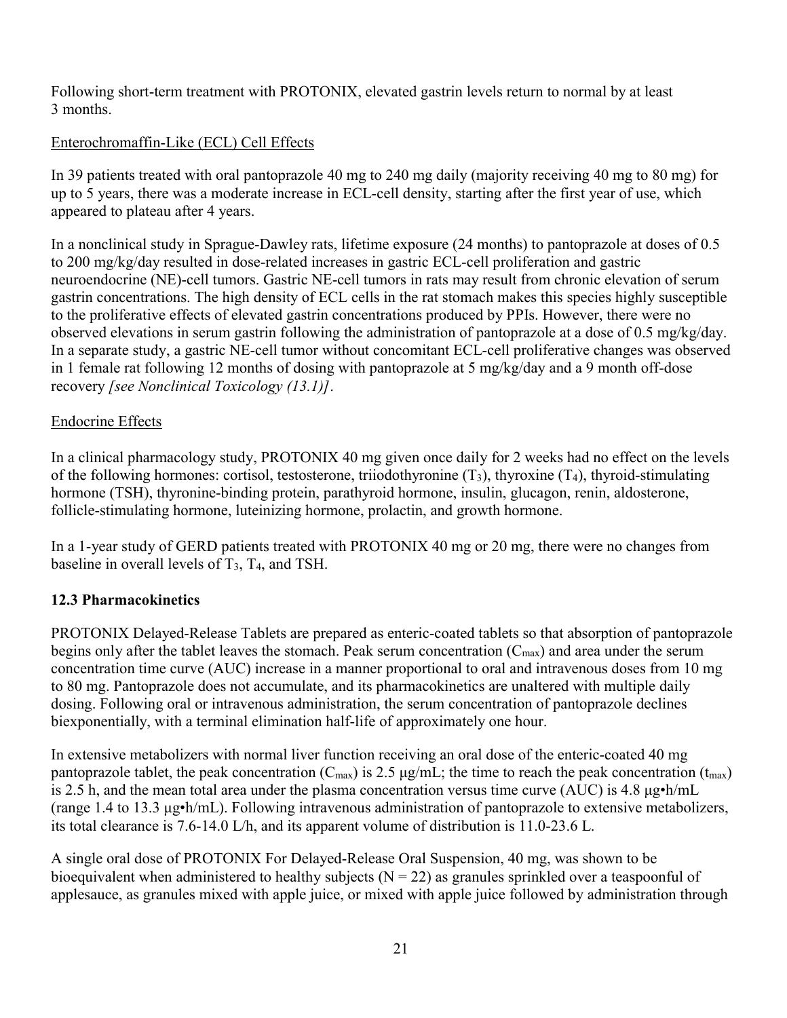Following short-term treatment with PROTONIX, elevated gastrin levels return to normal by at least 3 months.

## Enterochromaffin-Like (ECL) Cell Effects

In 39 patients treated with oral pantoprazole 40 mg to 240 mg daily (majority receiving 40 mg to 80 mg) for up to 5 years, there was a moderate increase in ECL-cell density, starting after the first year of use, which appeared to plateau after 4 years.

In a nonclinical study in Sprague-Dawley rats, lifetime exposure (24 months) to pantoprazole at doses of 0.5 to 200 mg/kg/day resulted in dose-related increases in gastric ECL-cell proliferation and gastric neuroendocrine (NE)-cell tumors. Gastric NE-cell tumors in rats may result from chronic elevation of serum gastrin concentrations. The high density of ECL cells in the rat stomach makes this species highly susceptible to the proliferative effects of elevated gastrin concentrations produced by PPIs. However, there were no observed elevations in serum gastrin following the administration of pantoprazole at a dose of 0.5 mg/kg/day. In a separate study, a gastric NE-cell tumor without concomitant ECL-cell proliferative changes was observed in 1 female rat following 12 months of dosing with pantoprazole at 5 mg/kg/day and a 9 month off-dose recovery *[see Nonclinical Toxicology (13.1)]*.

## Endocrine Effects

In a clinical pharmacology study, PROTONIX 40 mg given once daily for 2 weeks had no effect on the levels of the following hormones: cortisol, testosterone, triiodothyronine  $(T_3)$ , thyroxine  $(T_4)$ , thyroid-stimulating hormone (TSH), thyronine-binding protein, parathyroid hormone, insulin, glucagon, renin, aldosterone, follicle-stimulating hormone, luteinizing hormone, prolactin, and growth hormone.

In a 1-year study of GERD patients treated with PROTONIX 40 mg or 20 mg, there were no changes from baseline in overall levels of  $T_3$ ,  $T_4$ , and TSH.

# **12.3 Pharmacokinetics**

PROTONIX Delayed-Release Tablets are prepared as enteric-coated tablets so that absorption of pantoprazole begins only after the tablet leaves the stomach. Peak serum concentration  $(C_{\text{max}})$  and area under the serum concentration time curve (AUC) increase in a manner proportional to oral and intravenous doses from 10 mg to 80 mg. Pantoprazole does not accumulate, and its pharmacokinetics are unaltered with multiple daily dosing. Following oral or intravenous administration, the serum concentration of pantoprazole declines biexponentially, with a terminal elimination half-life of approximately one hour.

In extensive metabolizers with normal liver function receiving an oral dose of the enteric-coated 40 mg pantoprazole tablet, the peak concentration ( $C_{\text{max}}$ ) is 2.5  $\mu$ g/mL; the time to reach the peak concentration ( $t_{\text{max}}$ ) is 2.5 h, and the mean total area under the plasma concentration versus time curve (AUC) is 4.8 μg•h/mL (range 1.4 to 13.3 μg•h/mL). Following intravenous administration of pantoprazole to extensive metabolizers, its total clearance is 7.6-14.0 L/h, and its apparent volume of distribution is 11.0-23.6 L.

A single oral dose of PROTONIX For Delayed-Release Oral Suspension, 40 mg, was shown to be bioequivalent when administered to healthy subjects ( $N = 22$ ) as granules sprinkled over a teaspoonful of applesauce, as granules mixed with apple juice, or mixed with apple juice followed by administration through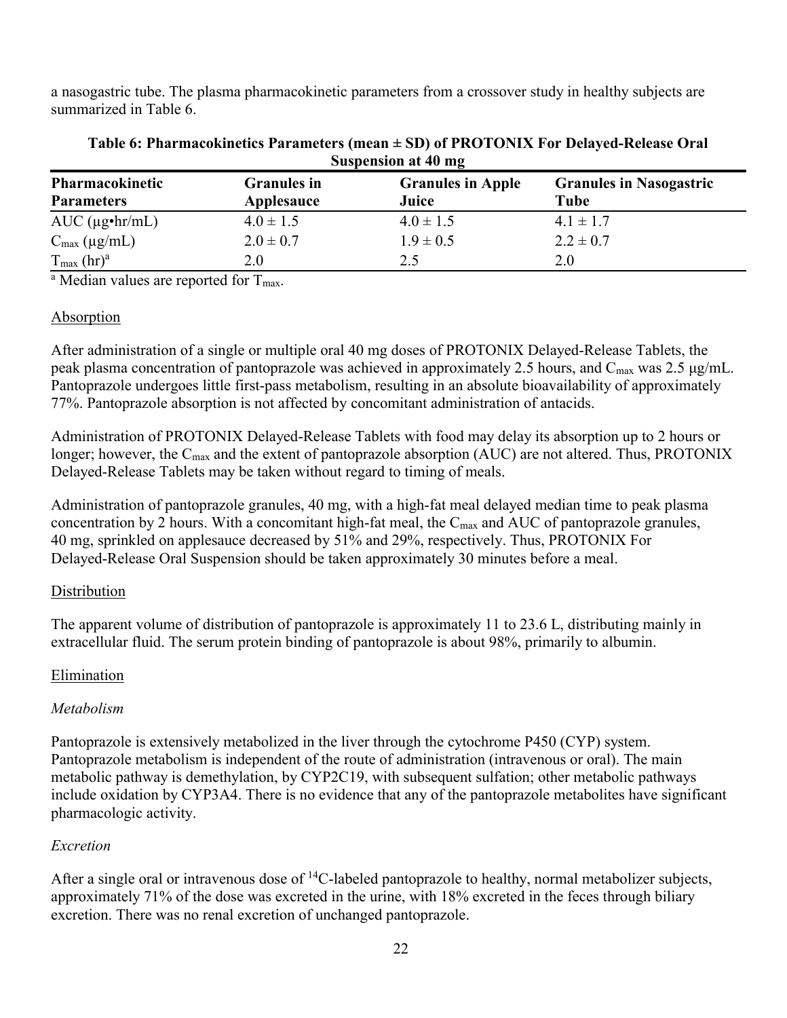a nasogastric tube. The plasma pharmacokinetic parameters from a crossover study in healthy subjects are summarized in Table 6.

| Suspension at 40 mg                  |                                  |                                   |                                        |
|--------------------------------------|----------------------------------|-----------------------------------|----------------------------------------|
| Pharmacokinetic<br><b>Parameters</b> | <b>Granules</b> in<br>Applesauce | <b>Granules in Apple</b><br>Juice | <b>Granules in Nasogastric</b><br>Tube |
| $AUC$ ( $\mu$ g•hr/mL)               | $4.0 \pm 1.5$                    | $4.0 \pm 1.5$                     | $4.1 \pm 1.7$                          |
| $C_{\text{max}} (\mu g / mL)$        | $2.0 \pm 0.7$                    | $1.9 \pm 0.5$                     | $2.2 \pm 0.7$                          |
| $T_{\text{max}}$ (hr) <sup>a</sup>   | 2.0                              | 2.5                               | 2.0                                    |

### **Table 6: Pharmacokinetics Parameters (mean ± SD) of PROTONIX For Delayed-Release Oral Suspension at 40 mg**

 $\frac{a}{a}$  Median values are reported for  $T_{\text{max}}$ .

## **Absorption**

After administration of a single or multiple oral 40 mg doses of PROTONIX Delayed-Release Tablets, the peak plasma concentration of pantoprazole was achieved in approximately 2.5 hours, and  $C_{\text{max}}$  was 2.5  $\mu$ g/mL. Pantoprazole undergoes little first-pass metabolism, resulting in an absolute bioavailability of approximately 77%. Pantoprazole absorption is not affected by concomitant administration of antacids.

Administration of PROTONIX Delayed-Release Tablets with food may delay its absorption up to 2 hours or longer; however, the C<sub>max</sub> and the extent of pantoprazole absorption (AUC) are not altered. Thus, PROTONIX Delayed-Release Tablets may be taken without regard to timing of meals.

Administration of pantoprazole granules, 40 mg, with a high-fat meal delayed median time to peak plasma concentration by 2 hours. With a concomitant high-fat meal, the  $C_{\text{max}}$  and AUC of pantoprazole granules, 40 mg, sprinkled on applesauce decreased by 51% and 29%, respectively. Thus, PROTONIX For Delayed-Release Oral Suspension should be taken approximately 30 minutes before a meal.

## **Distribution**

The apparent volume of distribution of pantoprazole is approximately 11 to 23.6 L, distributing mainly in extracellular fluid. The serum protein binding of pantoprazole is about 98%, primarily to albumin.

## Elimination

## *Metabolism*

Pantoprazole is extensively metabolized in the liver through the cytochrome P450 (CYP) system. Pantoprazole metabolism is independent of the route of administration (intravenous or oral). The main metabolic pathway is demethylation, by CYP2C19, with subsequent sulfation; other metabolic pathways include oxidation by CYP3A4. There is no evidence that any of the pantoprazole metabolites have significant pharmacologic activity.

## *Excretion*

After a single oral or intravenous dose of  ${}^{14}C$ -labeled pantoprazole to healthy, normal metabolizer subjects, approximately 71% of the dose was excreted in the urine, with 18% excreted in the feces through biliary excretion. There was no renal excretion of unchanged pantoprazole.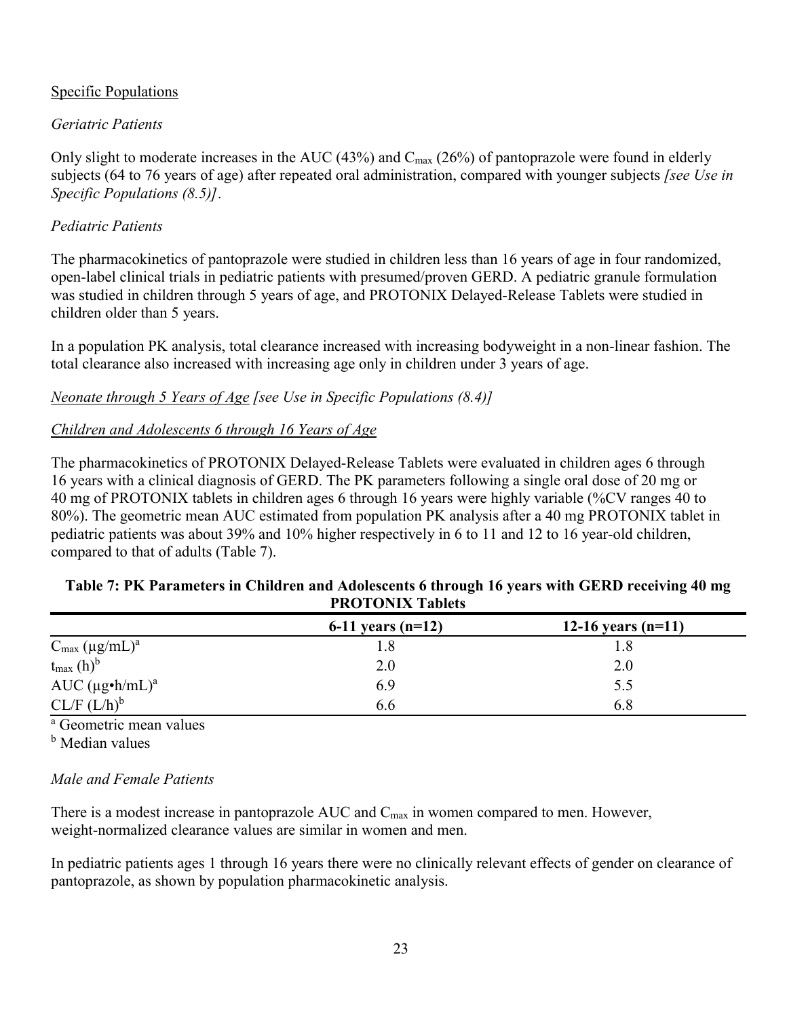## Specific Populations

## *Geriatric Patients*

Only slight to moderate increases in the AUC (43%) and  $C_{\text{max}}$  (26%) of pantoprazole were found in elderly subjects (64 to 76 years of age) after repeated oral administration, compared with younger subjects *[see Use in Specific Populations (8.5)]*.

## *Pediatric Patients*

The pharmacokinetics of pantoprazole were studied in children less than 16 years of age in four randomized, open-label clinical trials in pediatric patients with presumed/proven GERD. A pediatric granule formulation was studied in children through 5 years of age, and PROTONIX Delayed-Release Tablets were studied in children older than 5 years.

In a population PK analysis, total clearance increased with increasing bodyweight in a non-linear fashion. The total clearance also increased with increasing age only in children under 3 years of age.

*Neonate through 5 Years of Age [see Use in Specific Populations (8.4)]*

# *Children and Adolescents 6 through 16 Years of Age*

The pharmacokinetics of PROTONIX Delayed-Release Tablets were evaluated in children ages 6 through 16 years with a clinical diagnosis of GERD. The PK parameters following a single oral dose of 20 mg or 40 mg of PROTONIX tablets in children ages 6 through 16 years were highly variable (%CV ranges 40 to 80%). The geometric mean AUC estimated from population PK analysis after a 40 mg PROTONIX tablet in pediatric patients was about 39% and 10% higher respectively in 6 to 11 and 12 to 16 year-old children, compared to that of adults (Table 7).

## **Table 7: PK Parameters in Children and Adolescents 6 through 16 years with GERD receiving 40 mg PROTONIX Tablets**

|                                   | 6-11 years $(n=12)$ | 12-16 years $(n=11)$ |
|-----------------------------------|---------------------|----------------------|
| $C_{\text{max}} (\mu g/mL)^a$     | 1.8                 |                      |
| $t_{\text{max}}$ (h) <sup>b</sup> | 2.0                 | 2.0                  |
| AUC $(\mu g \cdot h/mL)^a$        | 6.9                 | 5.5                  |
| $CL/F (L/h)^b$                    | 6.6                 | 6.8                  |

<sup>a</sup> Geometric mean values

**b** Median values

## *Male and Female Patients*

There is a modest increase in pantoprazole  $AUC$  and  $C_{max}$  in women compared to men. However, weight-normalized clearance values are similar in women and men.

In pediatric patients ages 1 through 16 years there were no clinically relevant effects of gender on clearance of pantoprazole, as shown by population pharmacokinetic analysis.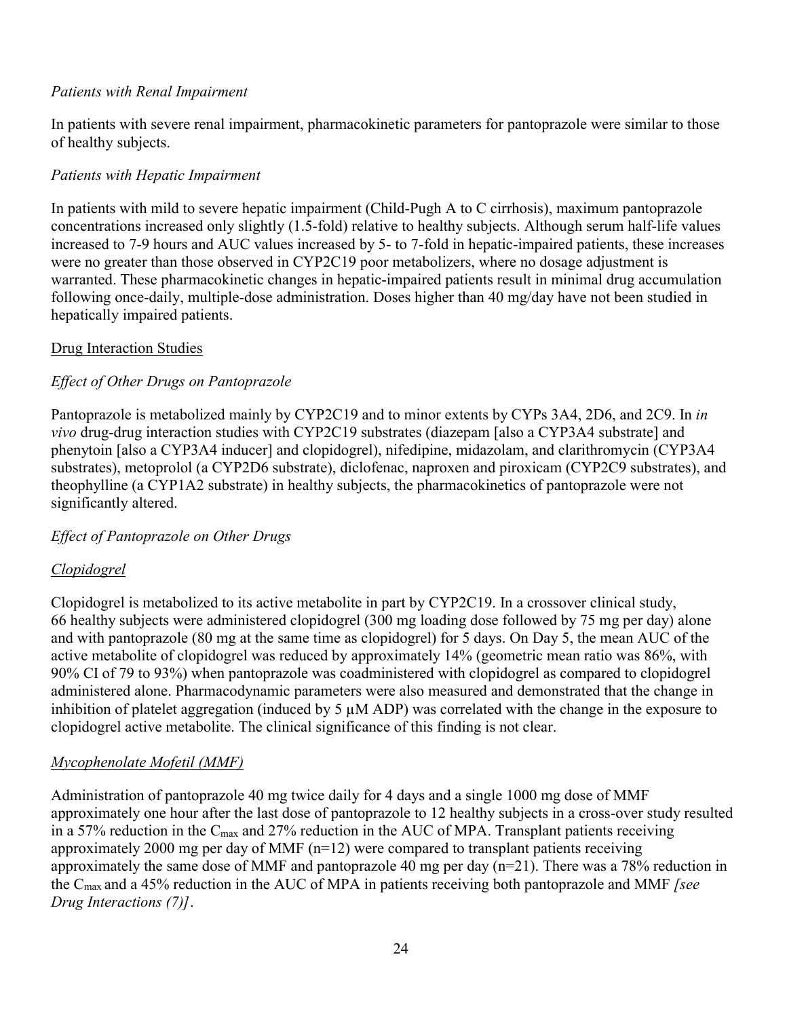## *Patients with Renal Impairment*

In patients with severe renal impairment, pharmacokinetic parameters for pantoprazole were similar to those of healthy subjects.

## *Patients with Hepatic Impairment*

In patients with mild to severe hepatic impairment (Child-Pugh A to C cirrhosis), maximum pantoprazole concentrations increased only slightly (1.5-fold) relative to healthy subjects. Although serum half-life values increased to 7-9 hours and AUC values increased by 5- to 7-fold in hepatic-impaired patients, these increases were no greater than those observed in CYP2C19 poor metabolizers, where no dosage adjustment is warranted. These pharmacokinetic changes in hepatic-impaired patients result in minimal drug accumulation following once-daily, multiple-dose administration. Doses higher than 40 mg/day have not been studied in hepatically impaired patients.

## Drug Interaction Studies

# *Effect of Other Drugs on Pantoprazole*

Pantoprazole is metabolized mainly by CYP2C19 and to minor extents by CYPs 3A4, 2D6, and 2C9. In *in vivo* drug-drug interaction studies with CYP2C19 substrates (diazepam [also a CYP3A4 substrate] and phenytoin [also a CYP3A4 inducer] and clopidogrel), nifedipine, midazolam, and clarithromycin (CYP3A4 substrates), metoprolol (a CYP2D6 substrate), diclofenac, naproxen and piroxicam (CYP2C9 substrates), and theophylline (a CYP1A2 substrate) in healthy subjects, the pharmacokinetics of pantoprazole were not significantly altered.

## *Effect of Pantoprazole on Other Drugs*

## *Clopidogrel*

Clopidogrel is metabolized to its active metabolite in part by CYP2C19. In a crossover clinical study, 66 healthy subjects were administered clopidogrel (300 mg loading dose followed by 75 mg per day) alone and with pantoprazole (80 mg at the same time as clopidogrel) for 5 days. On Day 5, the mean AUC of the active metabolite of clopidogrel was reduced by approximately 14% (geometric mean ratio was 86%, with 90% CI of 79 to 93%) when pantoprazole was coadministered with clopidogrel as compared to clopidogrel administered alone. Pharmacodynamic parameters were also measured and demonstrated that the change in inhibition of platelet aggregation (induced by 5 µM ADP) was correlated with the change in the exposure to clopidogrel active metabolite. The clinical significance of this finding is not clear.

## *Mycophenolate Mofetil (MMF)*

Administration of pantoprazole 40 mg twice daily for 4 days and a single 1000 mg dose of MMF approximately one hour after the last dose of pantoprazole to 12 healthy subjects in a cross-over study resulted in a 57% reduction in the  $C_{\text{max}}$  and 27% reduction in the AUC of MPA. Transplant patients receiving approximately 2000 mg per day of MMF (n=12) were compared to transplant patients receiving approximately the same dose of MMF and pantoprazole 40 mg per day (n=21). There was a 78% reduction in the Cmax and a 45% reduction in the AUC of MPA in patients receiving both pantoprazole and MMF *[see Drug Interactions (7)]*.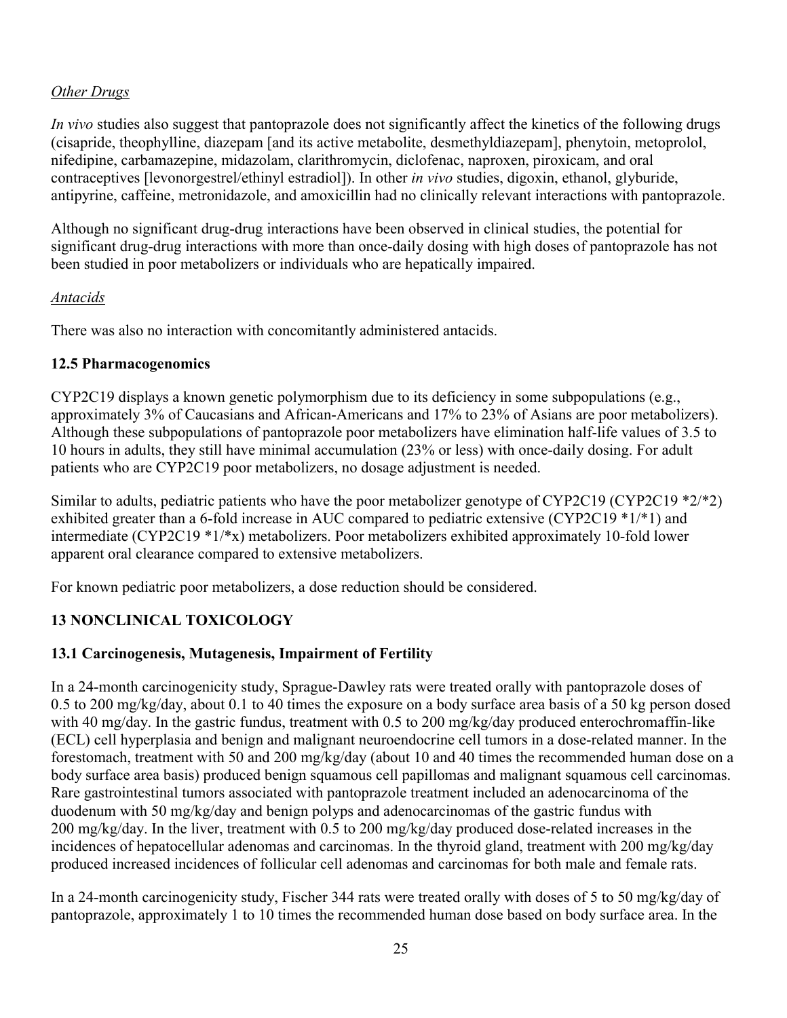## *Other Drugs*

*In vivo* studies also suggest that pantoprazole does not significantly affect the kinetics of the following drugs (cisapride, theophylline, diazepam [and its active metabolite, desmethyldiazepam], phenytoin, metoprolol, nifedipine, carbamazepine, midazolam, clarithromycin, diclofenac, naproxen, piroxicam, and oral contraceptives [levonorgestrel/ethinyl estradiol]). In other *in vivo* studies, digoxin, ethanol, glyburide, antipyrine, caffeine, metronidazole, and amoxicillin had no clinically relevant interactions with pantoprazole.

Although no significant drug-drug interactions have been observed in clinical studies, the potential for significant drug-drug interactions with more than once-daily dosing with high doses of pantoprazole has not been studied in poor metabolizers or individuals who are hepatically impaired.

## *Antacids*

There was also no interaction with concomitantly administered antacids.

## **12.5 Pharmacogenomics**

CYP2C19 displays a known genetic polymorphism due to its deficiency in some subpopulations (e.g., approximately 3% of Caucasians and African-Americans and 17% to 23% of Asians are poor metabolizers). Although these subpopulations of pantoprazole poor metabolizers have elimination half-life values of 3.5 to 10 hours in adults, they still have minimal accumulation (23% or less) with once-daily dosing. For adult patients who are CYP2C19 poor metabolizers, no dosage adjustment is needed.

Similar to adults, pediatric patients who have the poor metabolizer genotype of CYP2C19 (CYP2C19 \*2/\*2) exhibited greater than a 6-fold increase in AUC compared to pediatric extensive (CYP2C19 \*1/\*1) and intermediate (CYP2C19 \*1/\*x) metabolizers. Poor metabolizers exhibited approximately 10-fold lower apparent oral clearance compared to extensive metabolizers.

For known pediatric poor metabolizers, a dose reduction should be considered.

# **13 NONCLINICAL TOXICOLOGY**

## **13.1 Carcinogenesis, Mutagenesis, Impairment of Fertility**

In a 24-month carcinogenicity study, Sprague-Dawley rats were treated orally with pantoprazole doses of 0.5 to 200 mg/kg/day, about 0.1 to 40 times the exposure on a body surface area basis of a 50 kg person dosed with 40 mg/day. In the gastric fundus, treatment with 0.5 to 200 mg/kg/day produced enterochromaffin-like (ECL) cell hyperplasia and benign and malignant neuroendocrine cell tumors in a dose-related manner. In the forestomach, treatment with 50 and 200 mg/kg/day (about 10 and 40 times the recommended human dose on a body surface area basis) produced benign squamous cell papillomas and malignant squamous cell carcinomas. Rare gastrointestinal tumors associated with pantoprazole treatment included an adenocarcinoma of the duodenum with 50 mg/kg/day and benign polyps and adenocarcinomas of the gastric fundus with 200 mg/kg/day. In the liver, treatment with 0.5 to 200 mg/kg/day produced dose-related increases in the incidences of hepatocellular adenomas and carcinomas. In the thyroid gland, treatment with 200 mg/kg/day produced increased incidences of follicular cell adenomas and carcinomas for both male and female rats.

In a 24-month carcinogenicity study, Fischer 344 rats were treated orally with doses of 5 to 50 mg/kg/day of pantoprazole, approximately 1 to 10 times the recommended human dose based on body surface area. In the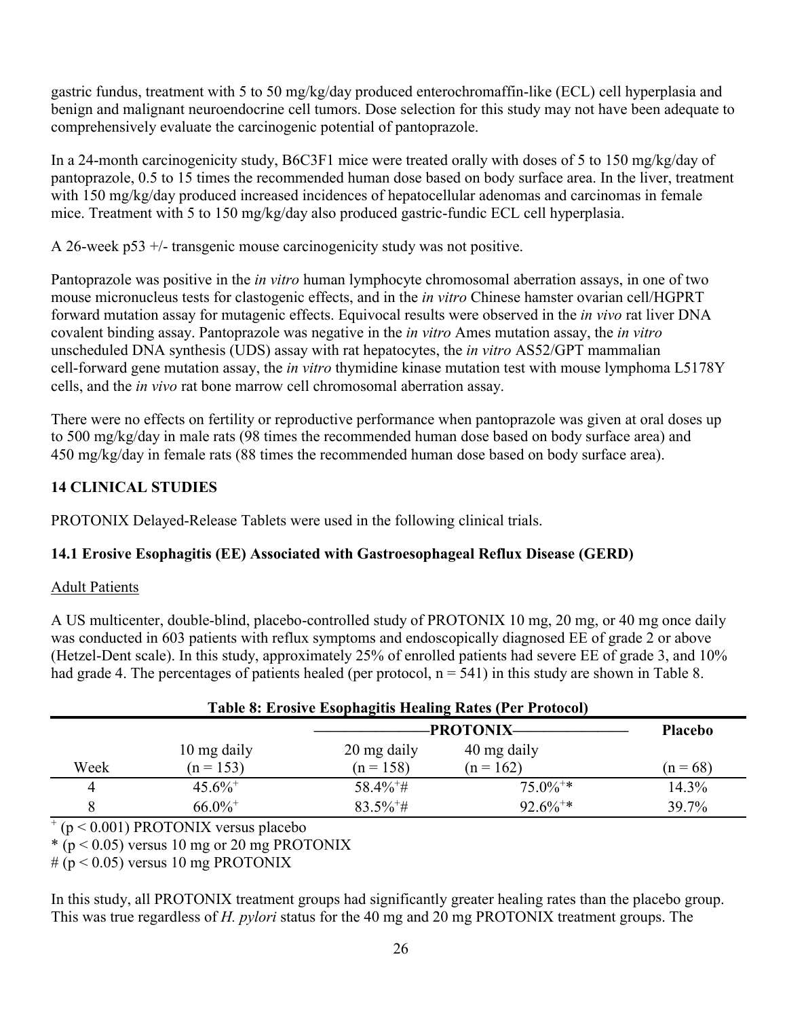gastric fundus, treatment with 5 to 50 mg/kg/day produced enterochromaffin-like (ECL) cell hyperplasia and benign and malignant neuroendocrine cell tumors. Dose selection for this study may not have been adequate to comprehensively evaluate the carcinogenic potential of pantoprazole.

In a 24-month carcinogenicity study, B6C3F1 mice were treated orally with doses of 5 to 150 mg/kg/day of pantoprazole, 0.5 to 15 times the recommended human dose based on body surface area. In the liver, treatment with 150 mg/kg/day produced increased incidences of hepatocellular adenomas and carcinomas in female mice. Treatment with 5 to 150 mg/kg/day also produced gastric-fundic ECL cell hyperplasia.

A 26-week p53 +/- transgenic mouse carcinogenicity study was not positive.

Pantoprazole was positive in the *in vitro* human lymphocyte chromosomal aberration assays, in one of two mouse micronucleus tests for clastogenic effects, and in the *in vitro* Chinese hamster ovarian cell/HGPRT forward mutation assay for mutagenic effects. Equivocal results were observed in the *in vivo* rat liver DNA covalent binding assay. Pantoprazole was negative in the *in vitro* Ames mutation assay, the *in vitro* unscheduled DNA synthesis (UDS) assay with rat hepatocytes, the *in vitro* AS52/GPT mammalian cell-forward gene mutation assay, the *in vitro* thymidine kinase mutation test with mouse lymphoma L5178Y cells, and the *in vivo* rat bone marrow cell chromosomal aberration assay.

There were no effects on fertility or reproductive performance when pantoprazole was given at oral doses up to 500 mg/kg/day in male rats (98 times the recommended human dose based on body surface area) and 450 mg/kg/day in female rats (88 times the recommended human dose based on body surface area).

# **14 CLINICAL STUDIES**

PROTONIX Delayed-Release Tablets were used in the following clinical trials.

# **14.1 Erosive Esophagitis (EE) Associated with Gastroesophageal Reflux Disease (GERD)**

# Adult Patients

A US multicenter, double-blind, placebo-controlled study of PROTONIX 10 mg, 20 mg, or 40 mg once daily was conducted in 603 patients with reflux symptoms and endoscopically diagnosed EE of grade 2 or above (Hetzel-Dent scale). In this study, approximately 25% of enrolled patients had severe EE of grade 3, and 10% had grade 4. The percentages of patients healed (per protocol,  $n = 541$ ) in this study are shown in Table 8.

| Table 8: Erosive Esophagitis Healing Rates (Per Protocol) |                       |                                      |                        |            |  |
|-----------------------------------------------------------|-----------------------|--------------------------------------|------------------------|------------|--|
|                                                           |                       | -PROTONIX-<br><b>Placebo</b>         |                        |            |  |
|                                                           | 10 mg daily           | 20 mg daily                          | 40 mg daily            |            |  |
| Week                                                      | $(n = 153)$           | $(n = 158)$                          | $(n = 162)$            | $(n = 68)$ |  |
| 4                                                         | $45.6\%$ <sup>+</sup> | $58.4\%$ <sup>+<math>\#</math></sup> | $75.0\%$ <sup>+*</sup> | 14.3%      |  |
|                                                           | $66.0\%$ <sup>+</sup> | $83.5\%$ <sup>+#</sup>               | $92.6\%^{+*}$          | 39.7%      |  |

# **Table 8: Erosive Esophagitis Healing Rates (Per Protocol)**

+ (p < 0.001) PROTONIX versus placebo

 $*(p < 0.05)$  versus 10 mg or 20 mg PROTONIX

 $# (p < 0.05)$  versus 10 mg PROTONIX

In this study, all PROTONIX treatment groups had significantly greater healing rates than the placebo group. This was true regardless of *H. pylori* status for the 40 mg and 20 mg PROTONIX treatment groups. The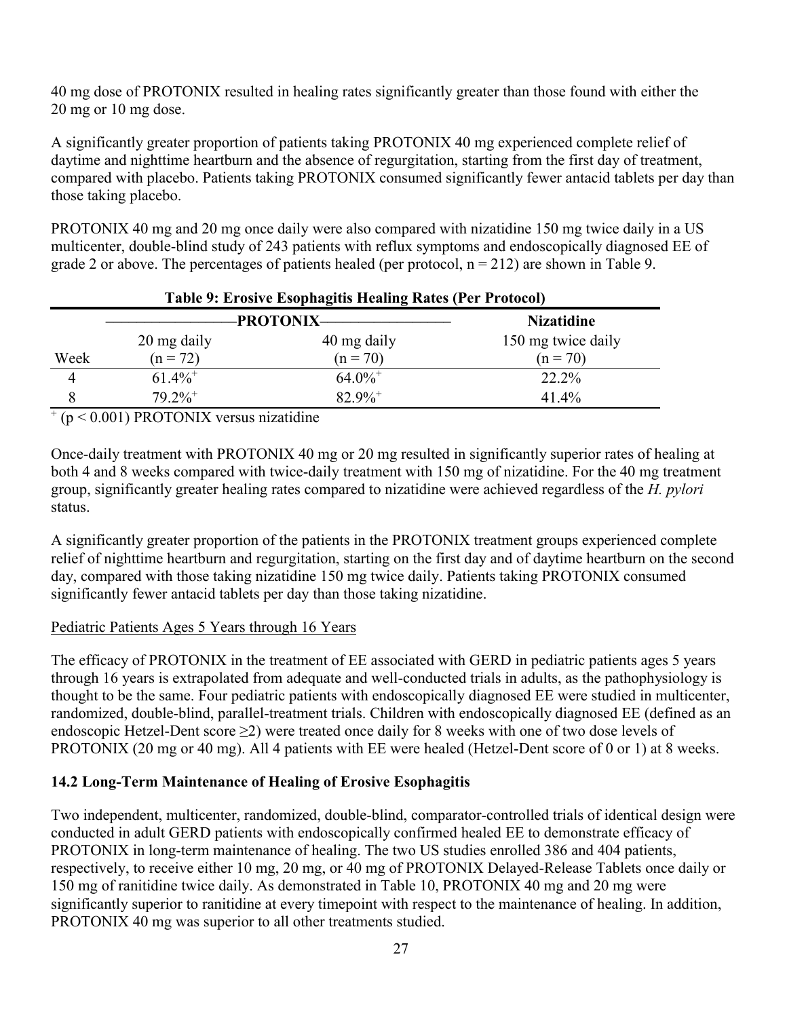40 mg dose of PROTONIX resulted in healing rates significantly greater than those found with either the 20 mg or 10 mg dose.

A significantly greater proportion of patients taking PROTONIX 40 mg experienced complete relief of daytime and nighttime heartburn and the absence of regurgitation, starting from the first day of treatment, compared with placebo. Patients taking PROTONIX consumed significantly fewer antacid tablets per day than those taking placebo.

PROTONIX 40 mg and 20 mg once daily were also compared with nizatidine 150 mg twice daily in a US multicenter, double-blind study of 243 patients with reflux symptoms and endoscopically diagnosed EE of grade 2 or above. The percentages of patients healed (per protocol,  $n = 212$ ) are shown in Table 9.

| Table 9: Erosive Esophagitis Healing Rates (Per Protocol) |                       |                       |                    |  |
|-----------------------------------------------------------|-----------------------|-----------------------|--------------------|--|
|                                                           |                       | <b>-PROTONIX-</b>     | <b>Nizatidine</b>  |  |
|                                                           | 20 mg daily           | 40 mg daily           | 150 mg twice daily |  |
| Week                                                      | $(n = 72)$            | $(n = 70)$            | $(n = 70)$         |  |
| 4                                                         | $61.4\%$ <sup>+</sup> | $64.0\%$ <sup>+</sup> | 22.2%              |  |
| 8                                                         | $79.2\%$ <sup>+</sup> | $82.9\%$ <sup>+</sup> | 41.4%              |  |

+ (p < 0.001) PROTONIX versus nizatidine

Once-daily treatment with PROTONIX 40 mg or 20 mg resulted in significantly superior rates of healing at both 4 and 8 weeks compared with twice-daily treatment with 150 mg of nizatidine. For the 40 mg treatment group, significantly greater healing rates compared to nizatidine were achieved regardless of the *H. pylori* status.

A significantly greater proportion of the patients in the PROTONIX treatment groups experienced complete relief of nighttime heartburn and regurgitation, starting on the first day and of daytime heartburn on the second day, compared with those taking nizatidine 150 mg twice daily. Patients taking PROTONIX consumed significantly fewer antacid tablets per day than those taking nizatidine.

## Pediatric Patients Ages 5 Years through 16 Years

The efficacy of PROTONIX in the treatment of EE associated with GERD in pediatric patients ages 5 years through 16 years is extrapolated from adequate and well-conducted trials in adults, as the pathophysiology is thought to be the same. Four pediatric patients with endoscopically diagnosed EE were studied in multicenter, randomized, double-blind, parallel-treatment trials. Children with endoscopically diagnosed EE (defined as an endoscopic Hetzel-Dent score ≥2) were treated once daily for 8 weeks with one of two dose levels of PROTONIX (20 mg or 40 mg). All 4 patients with EE were healed (Hetzel-Dent score of 0 or 1) at 8 weeks.

# **14.2 Long-Term Maintenance of Healing of Erosive Esophagitis**

Two independent, multicenter, randomized, double-blind, comparator-controlled trials of identical design were conducted in adult GERD patients with endoscopically confirmed healed EE to demonstrate efficacy of PROTONIX in long-term maintenance of healing. The two US studies enrolled 386 and 404 patients, respectively, to receive either 10 mg, 20 mg, or 40 mg of PROTONIX Delayed-Release Tablets once daily or 150 mg of ranitidine twice daily. As demonstrated in Table 10, PROTONIX 40 mg and 20 mg were significantly superior to ranitidine at every timepoint with respect to the maintenance of healing. In addition, PROTONIX 40 mg was superior to all other treatments studied.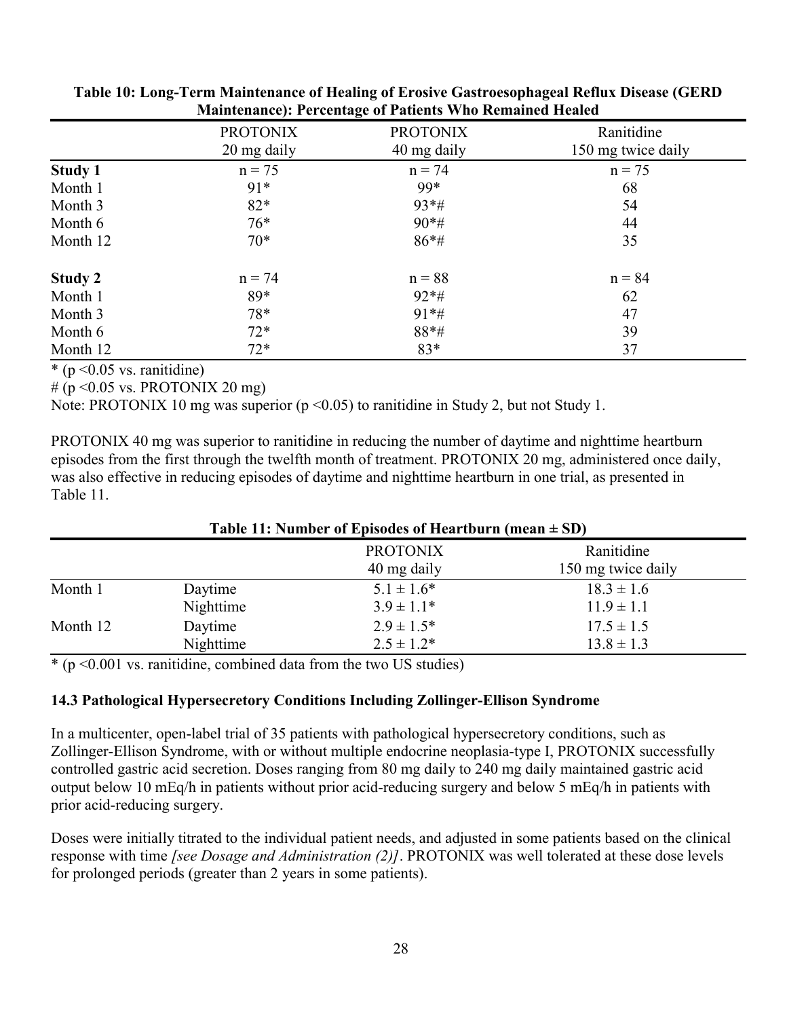|                | <b>PROTONIX</b><br>20 mg daily | <b>PROTONIX</b><br>40 mg daily | Ranitidine<br>150 mg twice daily |
|----------------|--------------------------------|--------------------------------|----------------------------------|
| <b>Study 1</b> | $n = 75$                       | $n = 74$                       | $n = 75$                         |
| Month 1        | $91*$                          | 99*                            | 68                               |
| Month 3        | $82*$                          | $93*#$                         | 54                               |
| Month 6        | $76*$                          | $90*$ #                        | 44                               |
| Month 12       | $70*$                          | $86*$ #                        | 35                               |
| <b>Study 2</b> | $n = 74$                       | $n = 88$                       | $n = 84$                         |
| Month 1        | 89*                            | $92*#$                         | 62                               |
| Month 3        | 78*                            | $91*#$                         | 47                               |
| Month 6        | $72*$                          | 88*#                           | 39                               |
| Month 12       | $72*$                          | 83*                            | 37                               |

**Table 10: Long-Term Maintenance of Healing of Erosive Gastroesophageal Reflux Disease (GERD Maintenance): Percentage of Patients Who Remained Healed** 

 $*(p \leq 0.05 \text{ vs. ramidine})$ 

# ( $p \le 0.05$  vs. PROTONIX 20 mg)

Note: PROTONIX 10 mg was superior ( $p \le 0.05$ ) to ranitidine in Study 2, but not Study 1.

PROTONIX 40 mg was superior to ranitidine in reducing the number of daytime and nighttime heartburn episodes from the first through the twelfth month of treatment. PROTONIX 20 mg, administered once daily, was also effective in reducing episodes of daytime and nighttime heartburn in one trial, as presented in Table 11.

| Table 11: Number of Episodes of Heartburn (mean $\pm$ SD) |           |                                |                                  |  |
|-----------------------------------------------------------|-----------|--------------------------------|----------------------------------|--|
|                                                           |           | <b>PROTONIX</b><br>40 mg daily | Ranitidine<br>150 mg twice daily |  |
| Month 1                                                   | Daytime   | $5.1 \pm 1.6^*$                | $18.3 \pm 1.6$                   |  |
|                                                           | Nighttime | $3.9 \pm 1.1*$                 | $11.9 \pm 1.1$                   |  |
| Month 12                                                  | Daytime   | $2.9 \pm 1.5^*$                | $17.5 \pm 1.5$                   |  |
|                                                           | Nighttime | $2.5 \pm 1.2^*$                | $13.8 \pm 1.3$                   |  |

 $*(p \le 0.001 \text{ vs. ramidine, combined data from the two US studies})$ 

## **14.3 Pathological Hypersecretory Conditions Including Zollinger-Ellison Syndrome**

In a multicenter, open-label trial of 35 patients with pathological hypersecretory conditions, such as Zollinger-Ellison Syndrome, with or without multiple endocrine neoplasia-type I, PROTONIX successfully controlled gastric acid secretion. Doses ranging from 80 mg daily to 240 mg daily maintained gastric acid output below 10 mEq/h in patients without prior acid-reducing surgery and below 5 mEq/h in patients with prior acid-reducing surgery.

Doses were initially titrated to the individual patient needs, and adjusted in some patients based on the clinical response with time *[see Dosage and Administration (2)]*. PROTONIX was well tolerated at these dose levels for prolonged periods (greater than 2 years in some patients).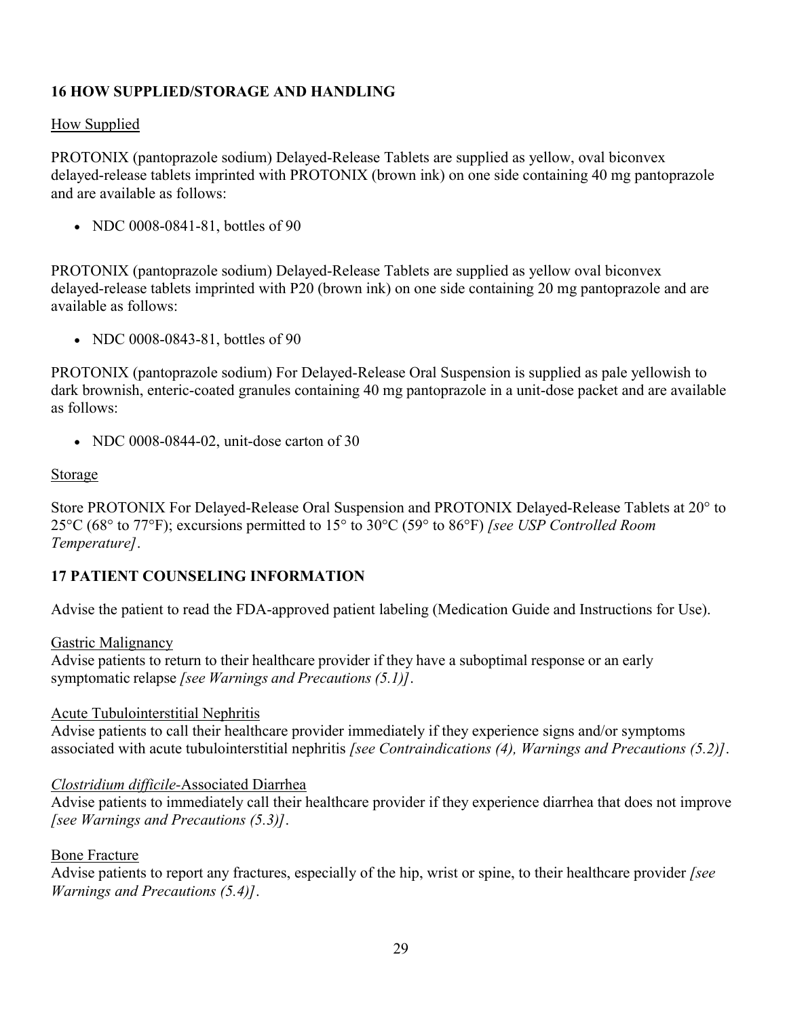# **16 HOW SUPPLIED/STORAGE AND HANDLING**

## How Supplied

PROTONIX (pantoprazole sodium) Delayed-Release Tablets are supplied as yellow, oval biconvex delayed-release tablets imprinted with PROTONIX (brown ink) on one side containing 40 mg pantoprazole and are available as follows:

• NDC 0008-0841-81, bottles of 90

PROTONIX (pantoprazole sodium) Delayed-Release Tablets are supplied as yellow oval biconvex delayed-release tablets imprinted with P20 (brown ink) on one side containing 20 mg pantoprazole and are available as follows:

• NDC 0008-0843-81, bottles of 90

PROTONIX (pantoprazole sodium) For Delayed-Release Oral Suspension is supplied as pale yellowish to dark brownish, enteric-coated granules containing 40 mg pantoprazole in a unit-dose packet and are available as follows:

• NDC 0008-0844-02, unit-dose carton of 30

## Storage

Store PROTONIX For Delayed-Release Oral Suspension and PROTONIX Delayed-Release Tablets at 20° to 25°C (68° to 77°F); excursions permitted to 15° to 30°C (59° to 86°F) *[see USP Controlled Room Temperature]*.

# **17 PATIENT COUNSELING INFORMATION**

Advise the patient to read the FDA-approved patient labeling (Medication Guide and Instructions for Use).

Gastric Malignancy

Advise patients to return to their healthcare provider if they have a suboptimal response or an early symptomatic relapse *[see Warnings and Precautions (5.1)]*.

## Acute Tubulointerstitial Nephritis

Advise patients to call their healthcare provider immediately if they experience signs and/or symptoms associated with acute tubulointerstitial nephritis *[see Contraindications (4), Warnings and Precautions (5.2)]*.

## *Clostridium difficile-*Associated Diarrhea

Advise patients to immediately call their healthcare provider if they experience diarrhea that does not improve *[see Warnings and Precautions (5.3)]*.

## Bone Fracture

Advise patients to report any fractures, especially of the hip, wrist or spine, to their healthcare provider *[see Warnings and Precautions (5.4)]*.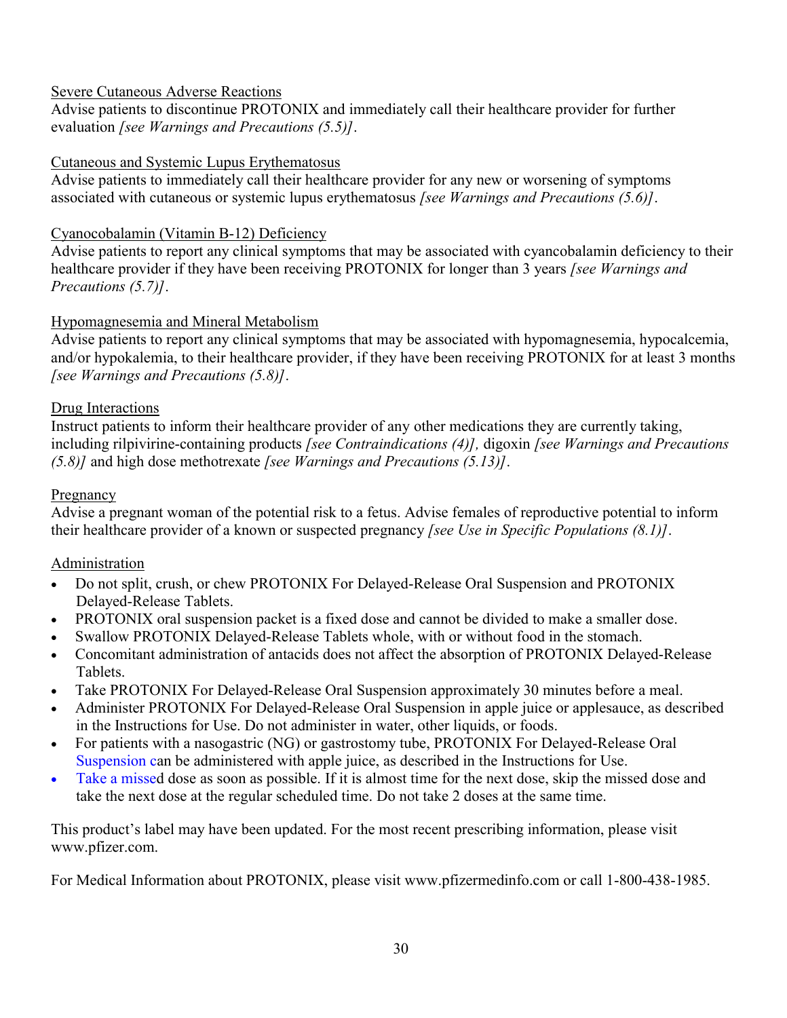# Severe Cutaneous Adverse Reactions

Advise patients to discontinue PROTONIX and immediately call their healthcare provider for further evaluation *[see Warnings and Precautions (5.5)]*.

# Cutaneous and Systemic Lupus Erythematosus

Advise patients to immediately call their healthcare provider for any new or worsening of symptoms associated with cutaneous or systemic lupus erythematosus *[see Warnings and Precautions (5.6)]*.

# Cyanocobalamin (Vitamin B-12) Deficiency

Advise patients to report any clinical symptoms that may be associated with cyancobalamin deficiency to their healthcare provider if they have been receiving PROTONIX for longer than 3 years *[see Warnings and Precautions (5.7)]*.

# Hypomagnesemia and Mineral Metabolism

Advise patients to report any clinical symptoms that may be associated with hypomagnesemia, hypocalcemia, and/or hypokalemia, to their healthcare provider, if they have been receiving PROTONIX for at least 3 months *[see Warnings and Precautions (5.8)]*.

# Drug Interactions

Instruct patients to inform their healthcare provider of any other medications they are currently taking, including rilpivirine-containing products *[see Contraindications (4)],* digoxin *[see Warnings and Precautions (5.8)]* and high dose methotrexate *[see Warnings and Precautions (5.13)]*.

# Pregnancy

Advise a pregnant woman of the potential risk to a fetus. Advise females of reproductive potential to inform their healthcare provider of a known or suspected pregnancy *[see Use in Specific Populations (8.1)]*.

# Administration

- Do not split, crush, or chew PROTONIX For Delayed-Release Oral Suspension and PROTONIX Delayed-Release Tablets.
- PROTONIX oral suspension packet is a fixed dose and cannot be divided to make a smaller dose.
- Swallow PROTONIX Delayed-Release Tablets whole, with or without food in the stomach.
- Concomitant administration of antacids does not affect the absorption of PROTONIX Delayed-Release Tablets.
- Take PROTONIX For Delayed-Release Oral Suspension approximately 30 minutes before a meal.
- Administer PROTONIX For Delayed-Release Oral Suspension in apple juice or applesauce, as described in the Instructions for Use. Do not administer in water, other liquids, or foods.
- For patients with a nasogastric (NG) or gastrostomy tube, PROTONIX For Delayed-Release Oral [Suspension c](https://www.pfizer.com/)an be administered with apple juice, as described in the Instructions for Use.
- Take a missed dose as soon as possible. If it is almost time for the next dose, skip the missed dose and take the next dose at the regular scheduled time. Do not take 2 doses at the same time.

This product's label may have been updated. For the most recent prescribing information, please visit www.pfizer.com.

For Medical Information about PROTONIX, please visit www.pfizermedinfo.com or call 1-800-438-1985.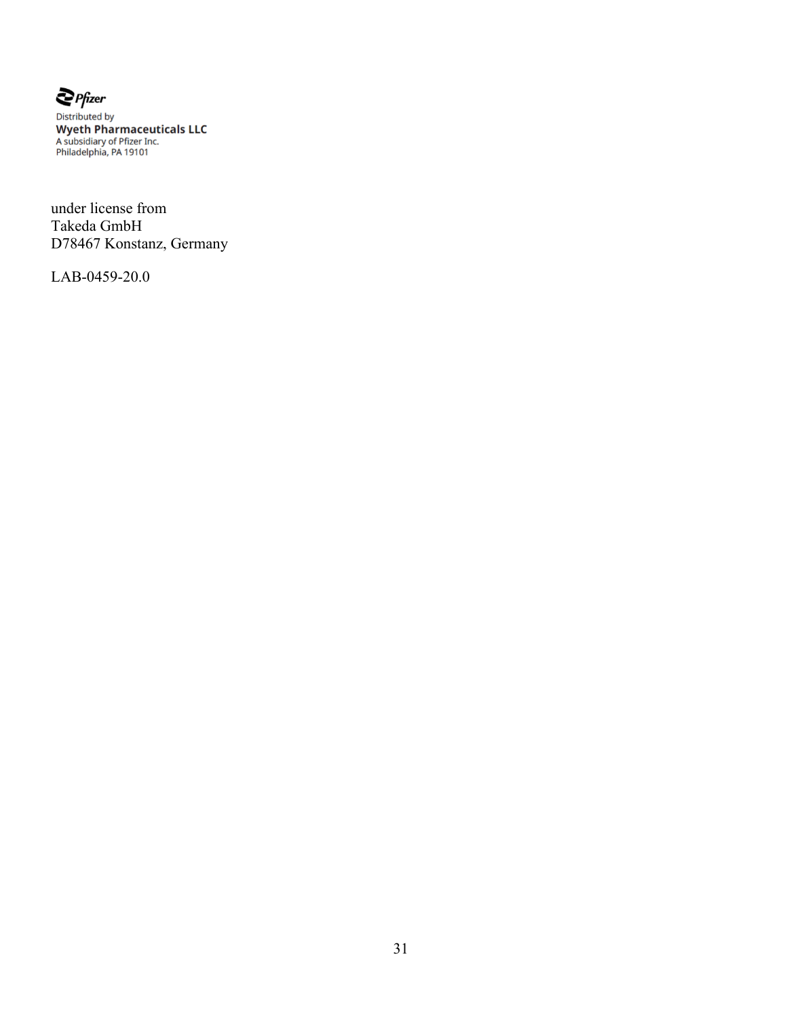

**Example Prizer**<br>Distributed by<br>**Wyeth Pharmaceuticals LLC**<br>A subsidiary of Pfizer Inc.<br>Philadelphia, PA 19101

under license from Takeda GmbH D78467 Konstanz, Germany

LAB-0459-20.0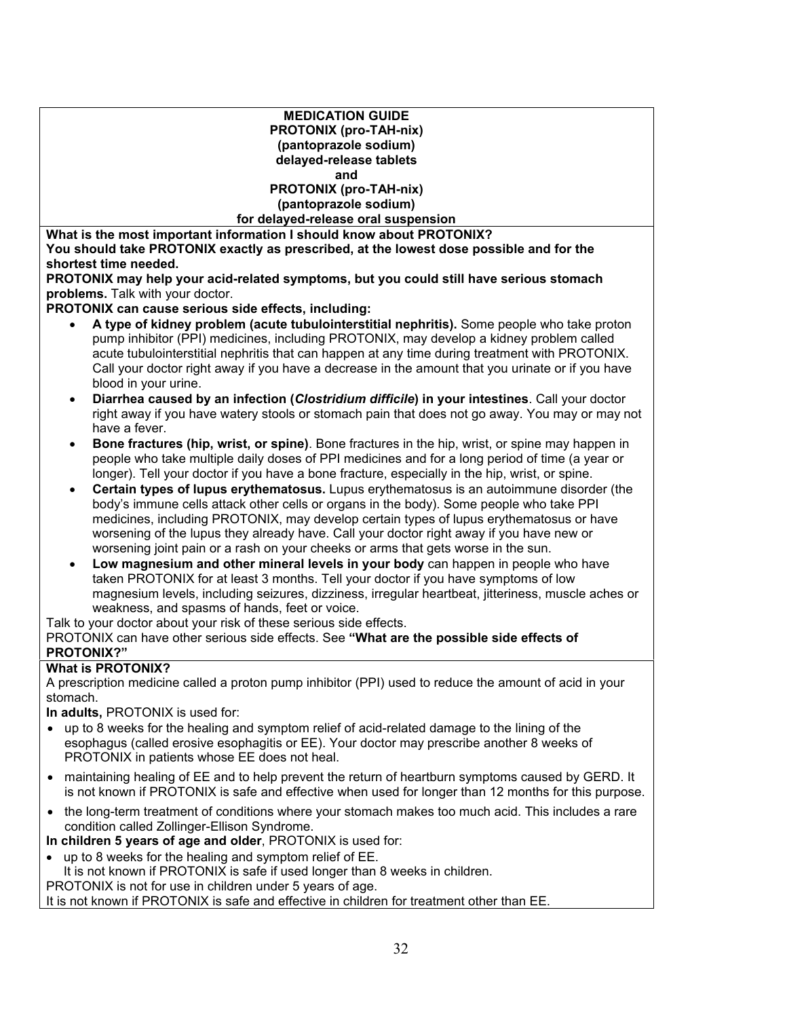#### **MEDICATION GUIDE PROTONIX (pro-TAH-nix) (pantoprazole sodium) delayed-release tablets and PROTONIX (pro-TAH-nix) (pantoprazole sodium) for delayed-release oral suspension What is the most important information I should know about PROTONIX?**

**You should take PROTONIX exactly as prescribed, at the lowest dose possible and for the shortest time needed.**

**PROTONIX may help your acid-related symptoms, but you could still have serious stomach problems.** Talk with your doctor.

**PROTONIX can cause serious side effects, including:**

- **A type of kidney problem (acute tubulointerstitial nephritis).** Some people who take proton pump inhibitor (PPI) medicines, including PROTONIX, may develop a kidney problem called acute tubulointerstitial nephritis that can happen at any time during treatment with PROTONIX. Call your doctor right away if you have a decrease in the amount that you urinate or if you have blood in your urine.
- **Diarrhea caused by an infection (***Clostridium difficile***) in your intestines**. Call your doctor right away if you have watery stools or stomach pain that does not go away. You may or may not have a fever.
- **Bone fractures (hip, wrist, or spine)**. Bone fractures in the hip, wrist, or spine may happen in people who take multiple daily doses of PPI medicines and for a long period of time (a year or longer). Tell your doctor if you have a bone fracture, especially in the hip, wrist, or spine.
- **Certain types of lupus erythematosus.** Lupus erythematosus is an autoimmune disorder (the body's immune cells attack other cells or organs in the body). Some people who take PPI medicines, including PROTONIX, may develop certain types of lupus erythematosus or have worsening of the lupus they already have. Call your doctor right away if you have new or worsening joint pain or a rash on your cheeks or arms that gets worse in the sun.
- **Low magnesium and other mineral levels in your body** can happen in people who have taken PROTONIX for at least 3 months. Tell your doctor if you have symptoms of low magnesium levels, including seizures, dizziness, irregular heartbeat, jitteriness, muscle aches or weakness, and spasms of hands, feet or voice.

Talk to your doctor about your risk of these serious side effects.

PROTONIX can have other serious side effects. See **"What are the possible side effects of PROTONIX?"**

#### **What is PROTONIX?**

A prescription medicine called a proton pump inhibitor (PPI) used to reduce the amount of acid in your stomach.

**In adults,** PROTONIX is used for:

- up to 8 weeks for the healing and symptom relief of acid-related damage to the lining of the esophagus (called erosive esophagitis or EE). Your doctor may prescribe another 8 weeks of PROTONIX in patients whose EE does not heal.
- maintaining healing of EE and to help prevent the return of heartburn symptoms caused by GERD. It is not known if PROTONIX is safe and effective when used for longer than 12 months for this purpose.
- the long-term treatment of conditions where your stomach makes too much acid. This includes a rare condition called Zollinger-Ellison Syndrome.
- **In children 5 years of age and older**, PROTONIX is used for:
- up to 8 weeks for the healing and symptom relief of EE.

It is not known if PROTONIX is safe if used longer than 8 weeks in children.

PROTONIX is not for use in children under 5 years of age.

It is not known if PROTONIX is safe and effective in children for treatment other than EE.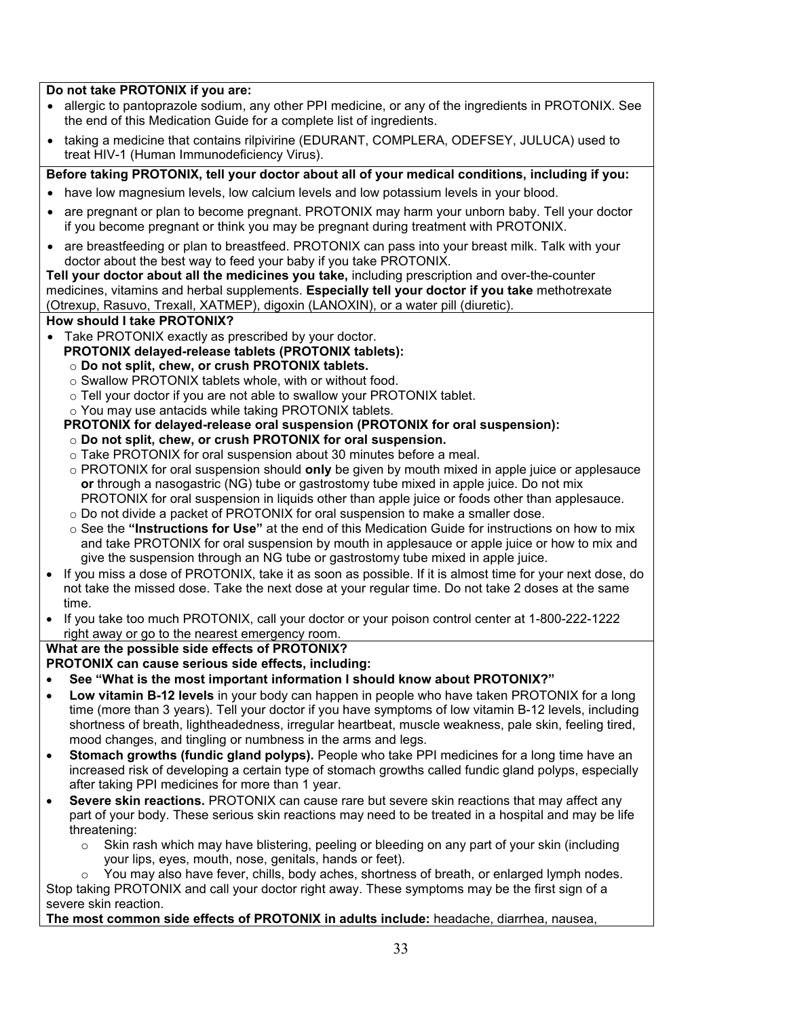#### **Do not take PROTONIX if you are:**

- allergic to pantoprazole sodium, any other PPI medicine, or any of the ingredients in PROTONIX. See the end of this Medication Guide for a complete list of ingredients.
- taking a medicine that contains rilpivirine (EDURANT, COMPLERA, ODEFSEY, JULUCA) used to treat HIV-1 (Human Immunodeficiency Virus).

#### **Before taking PROTONIX, tell your doctor about all of your medical conditions, including if you:**

- have low magnesium levels, low calcium levels and low potassium levels in your blood.
- are pregnant or plan to become pregnant. PROTONIX may harm your unborn baby. Tell your doctor if you become pregnant or think you may be pregnant during treatment with PROTONIX.
- are breastfeeding or plan to breastfeed. PROTONIX can pass into your breast milk. Talk with your doctor about the best way to feed your baby if you take PROTONIX.

**Tell your doctor about all the medicines you take,** including prescription and over-the-counter medicines, vitamins and herbal supplements. **Especially tell your doctor if you take** methotrexate (Otrexup, Rasuvo, Trexall, XATMEP), digoxin (LANOXIN), or a water pill (diuretic).

#### **How should I take PROTONIX?**

- Take PROTONIX exactly as prescribed by your doctor.
- **PROTONIX delayed-release tablets (PROTONIX tablets):**
	- o **Do not split, chew, or crush PROTONIX tablets.**
	- o Swallow PROTONIX tablets whole, with or without food.
	- o Tell your doctor if you are not able to swallow your PROTONIX tablet.
	- o You may use antacids while taking PROTONIX tablets.

#### **PROTONIX for delayed-release oral suspension (PROTONIX for oral suspension):**

- o **Do not split, chew, or crush PROTONIX for oral suspension.**
- $\circ$  Take PROTONIX for oral suspension about 30 minutes before a meal.
- o PROTONIX for oral suspension should **only** be given by mouth mixed in apple juice or applesauce **or** through a nasogastric (NG) tube or gastrostomy tube mixed in apple juice. Do not mix PROTONIX for oral suspension in liquids other than apple juice or foods other than applesauce.
- $\circ$  Do not divide a packet of PROTONIX for oral suspension to make a smaller dose.
- o See the **"Instructions for Use"** at the end of this Medication Guide for instructions on how to mix and take PROTONIX for oral suspension by mouth in applesauce or apple juice or how to mix and give the suspension through an NG tube or gastrostomy tube mixed in apple juice.
- If you miss a dose of PROTONIX, take it as soon as possible. If it is almost time for your next dose, do not take the missed dose. Take the next dose at your regular time. Do not take 2 doses at the same time.
- If you take too much PROTONIX, call your doctor or your poison control center at 1-800-222-1222 right away or go to the nearest emergency room.

#### **What are the possible side effects of PROTONIX?**

#### **PROTONIX can cause serious side effects, including:**

- **See "What is the most important information I should know about PROTONIX?"**
- **Low vitamin B-12 levels** in your body can happen in people who have taken PROTONIX for a long time (more than 3 years). Tell your doctor if you have symptoms of low vitamin B-12 levels, including shortness of breath, lightheadedness, irregular heartbeat, muscle weakness, pale skin, feeling tired, mood changes, and tingling or numbness in the arms and legs.
- **Stomach growths (fundic gland polyps).** People who take PPI medicines for a long time have an increased risk of developing a certain type of stomach growths called fundic gland polyps, especially after taking PPI medicines for more than 1 year.
- **Severe skin reactions.** PROTONIX can cause rare but severe skin reactions that may affect any part of your body. These serious skin reactions may need to be treated in a hospital and may be life threatening:
	- $\circ$  Skin rash which may have blistering, peeling or bleeding on any part of your skin (including your lips, eyes, mouth, nose, genitals, hands or feet).
- You may also have fever, chills, body aches, shortness of breath, or enlarged lymph nodes. Stop taking PROTONIX and call your doctor right away. These symptoms may be the first sign of a severe skin reaction.

**The most common side effects of PROTONIX in adults include:** headache, diarrhea, nausea,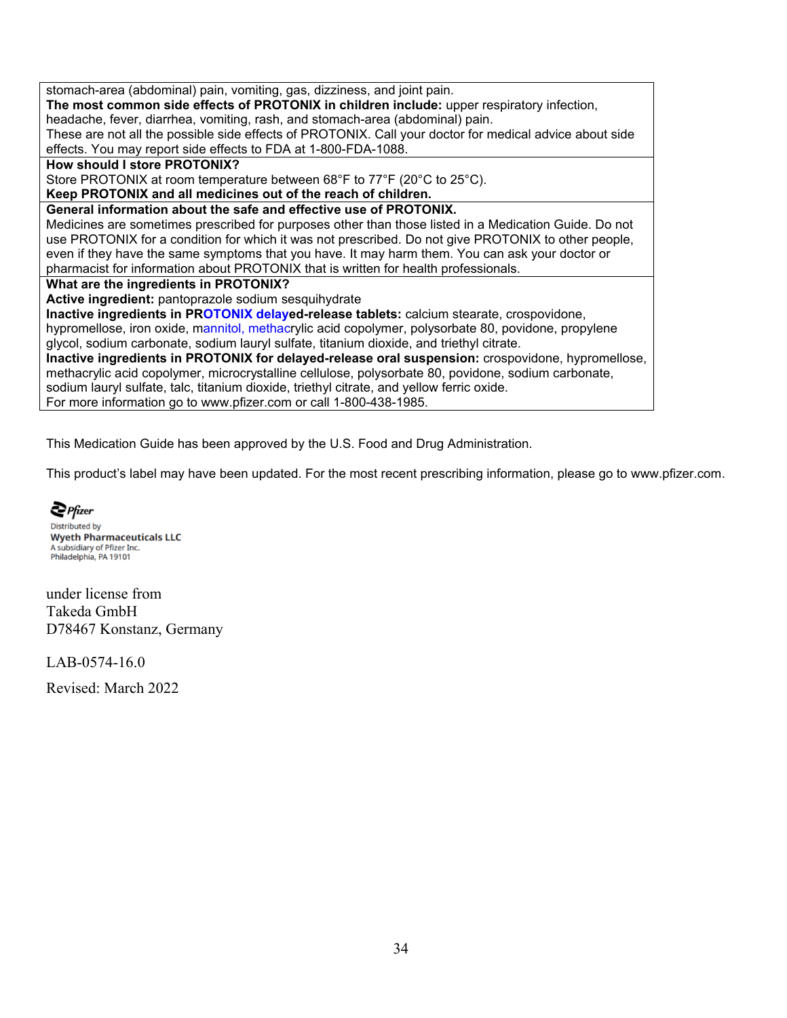stomach-area (abdominal) pain, vomiting, gas, dizziness, and joint pain. **The most common side effects of PROTONIX in children include:** upper respiratory infection, headache, fever, diarrhea, vomiting, rash, and stomach-area (abdominal) pain. These are not all the possible side effects of PROTONIX. Call your doctor for medical advice about side effects. You may report side effects to FDA at 1-800-FDA-1088. **How should I store PROTONIX?** Store PROTONIX at room temperature between 68°F to 77°F (20°C to 25°C). **Keep PROTONIX and all medicines out of the reach of children. General information about the safe and effective use of PROTONIX.** Medicines are sometimes prescribed for purposes other than those listed in a Medication Guide. Do not use PROTONIX for a condition for which it was not prescribed. Do not give PROTONIX to other people, even if they have the same symptoms that you have. It may harm them. You can ask your doctor or pharmacist for information about PROTONIX that is written for health professionals. **What are the ingredients in PROTONIX? Active ingredient:** pantoprazole sodium sesquihydrate **Inactive ingredients in PROTONIX delayed-release tablets:** calcium stearate, crospovidone, hypromellose, iron oxide, [mannitol, methacr](https://www.pfizer.com/)ylic acid copolymer, polysorbate 80, povidone, propylene glycol, sodium carbonate, sodium lauryl sulfate, titanium dioxide, and triethyl citrate. **Inactive ingredients in PROTONIX for delayed-release oral suspension:** crospovidone, hypromellose, methacrylic acid copolymer, microcrystalline cellulose, polysorbate 80, povidone, sodium carbonate, sodium lauryl sulfate, talc, titanium dioxide, triethyl citrate, and yellow ferric oxide. For more information go to www.pfizer.com or call 1-800-438-1985.

This Medication Guide has been approved by the U.S. Food and Drug Administration.

This product's label may have been updated. For the most recent prescribing information, please go to www.pfizer.com.

 $\sum$  Pfizer **Distributed by Wyeth Pharmaceuticals LLC** A subsidiary of Pfizer Inc. Philadelphia, PA 19101

under license from Takeda GmbH D78467 Konstanz, Germany

LAB-0574-16.0

Revised: March 2022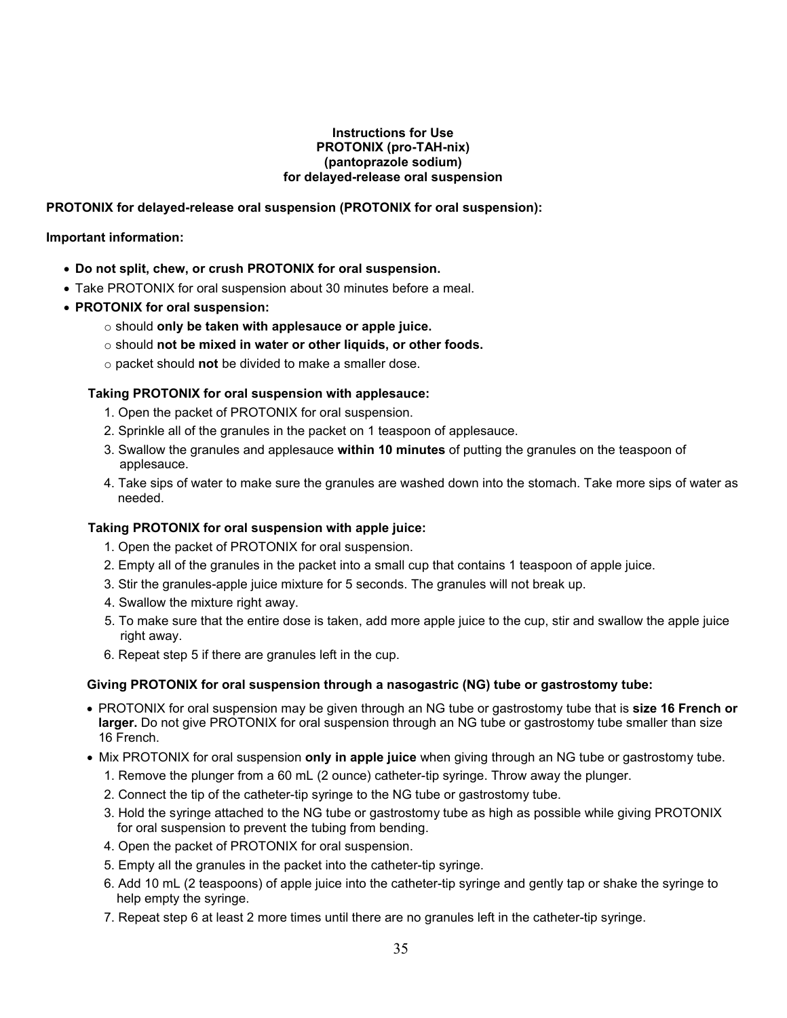#### **Instructions for Use PROTONIX (pro-TAH-nix) (pantoprazole sodium) for delayed-release oral suspension**

#### **PROTONIX for delayed-release oral suspension (PROTONIX for oral suspension):**

#### **Important information:**

- **Do not split, chew, or crush PROTONIX for oral suspension.**
- Take PROTONIX for oral suspension about 30 minutes before a meal.
- **PROTONIX for oral suspension:**
	- o should **only be taken with applesauce or apple juice.**
	- o should **not be mixed in water or other liquids, or other foods.**
	- o packet should **not** be divided to make a smaller dose.

#### **Taking PROTONIX for oral suspension with applesauce:**

- 1. Open the packet of PROTONIX for oral suspension.
- 2. Sprinkle all of the granules in the packet on 1 teaspoon of applesauce.
- 3. Swallow the granules and applesauce **within 10 minutes** of putting the granules on the teaspoon of applesauce.
- 4. Take sips of water to make sure the granules are washed down into the stomach. Take more sips of water as needed.

#### **Taking PROTONIX for oral suspension with apple juice:**

- 1. Open the packet of PROTONIX for oral suspension.
- 2. Empty all of the granules in the packet into a small cup that contains 1 teaspoon of apple juice.
- 3. Stir the granules-apple juice mixture for 5 seconds. The granules will not break up.
- 4. Swallow the mixture right away.
- 5. To make sure that the entire dose is taken, add more apple juice to the cup, stir and swallow the apple juice right away.
- 6. Repeat step 5 if there are granules left in the cup.

#### **Giving PROTONIX for oral suspension through a nasogastric (NG) tube or gastrostomy tube:**

- PROTONIX for oral suspension may be given through an NG tube or gastrostomy tube that is **size 16 French or larger.** Do not give PROTONIX for oral suspension through an NG tube or gastrostomy tube smaller than size 16 French.
- Mix PROTONIX for oral suspension **only in apple juice** when giving through an NG tube or gastrostomy tube.
	- 1. Remove the plunger from a 60 mL (2 ounce) catheter-tip syringe. Throw away the plunger.
	- 2. Connect the tip of the catheter-tip syringe to the NG tube or gastrostomy tube.
	- 3. Hold the syringe attached to the NG tube or gastrostomy tube as high as possible while giving PROTONIX for oral suspension to prevent the tubing from bending.
	- 4. Open the packet of PROTONIX for oral suspension.
	- 5. Empty all the granules in the packet into the catheter-tip syringe.
	- 6. Add 10 mL (2 teaspoons) of apple juice into the catheter-tip syringe and gently tap or shake the syringe to help empty the syringe.
	- 7. Repeat step 6 at least 2 more times until there are no granules left in the catheter-tip syringe.